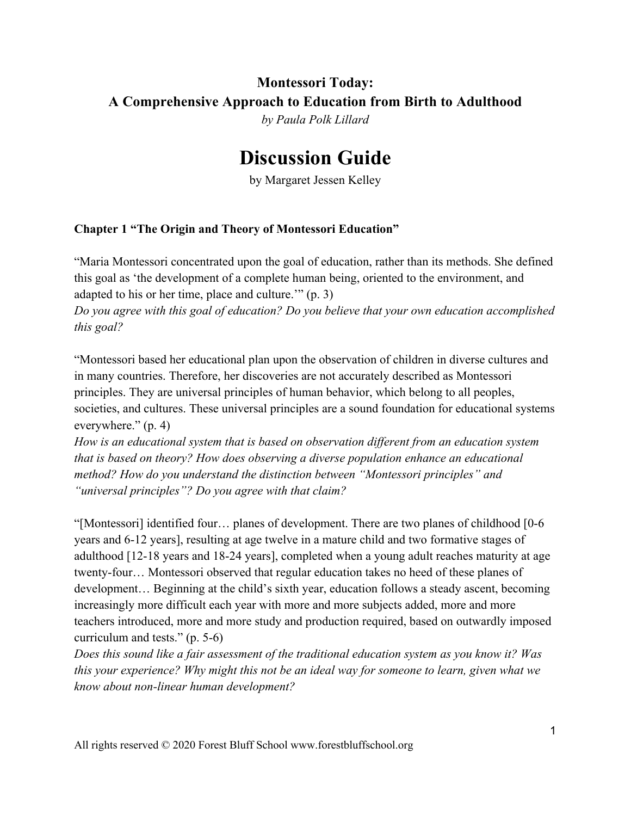# **Montessori Today: A Comprehensive Approach to Education from Birth to Adulthood**

*by Paula Polk Lillard*

# **Discussion Guide**

by Margaret Jessen Kelley

# **Chapter 1 "The Origin and Theory of Montessori Education"**

"Maria Montessori concentrated upon the goal of education, rather than its methods. She defined this goal as 'the development of a complete human being, oriented to the environment, and adapted to his or her time, place and culture.'" (p. 3)

*Do you agree with this goal of education? Do you believe that your own education accomplished this goal?* 

"Montessori based her educational plan upon the observation of children in diverse cultures and in many countries. Therefore, her discoveries are not accurately described as Montessori principles. They are universal principles of human behavior, which belong to all peoples, societies, and cultures. These universal principles are a sound foundation for educational systems everywhere." (p. 4)

*How is an educational system that is based on observation different from an education system that is based on theory? How does observing a diverse population enhance an educational method? How do you understand the distinction between "Montessori principles" and "universal principles"? Do you agree with that claim?*

"[Montessori] identified four… planes of development. There are two planes of childhood [0-6 years and 6-12 years], resulting at age twelve in a mature child and two formative stages of adulthood [12-18 years and 18-24 years], completed when a young adult reaches maturity at age twenty-four… Montessori observed that regular education takes no heed of these planes of development… Beginning at the child's sixth year, education follows a steady ascent, becoming increasingly more difficult each year with more and more subjects added, more and more teachers introduced, more and more study and production required, based on outwardly imposed curriculum and tests." (p. 5-6)

*Does this sound like a fair assessment of the traditional education system as you know it? Was this your experience? Why might this not be an ideal way for someone to learn, given what we know about non-linear human development?*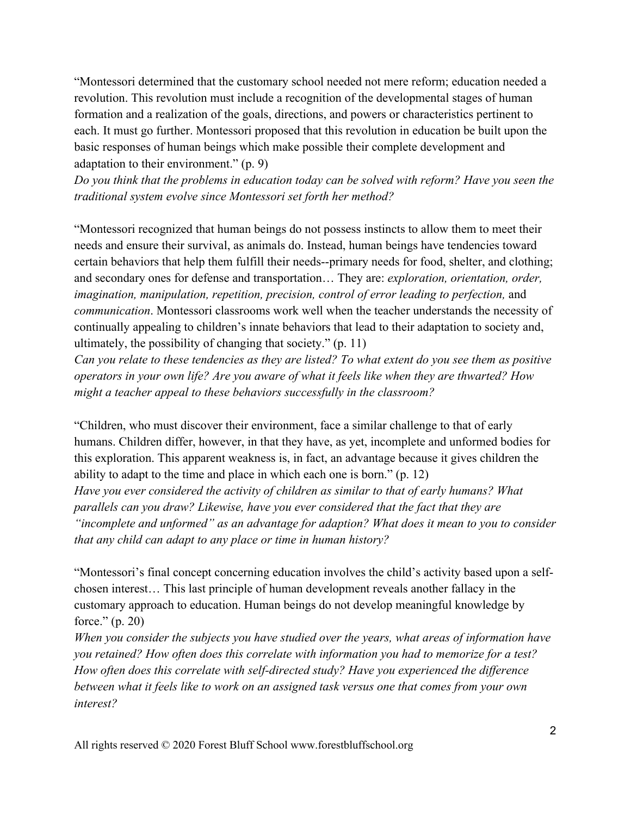"Montessori determined that the customary school needed not mere reform; education needed a revolution. This revolution must include a recognition of the developmental stages of human formation and a realization of the goals, directions, and powers or characteristics pertinent to each. It must go further. Montessori proposed that this revolution in education be built upon the basic responses of human beings which make possible their complete development and adaptation to their environment." (p. 9)

*Do you think that the problems in education today can be solved with reform? Have you seen the traditional system evolve since Montessori set forth her method?*

"Montessori recognized that human beings do not possess instincts to allow them to meet their needs and ensure their survival, as animals do. Instead, human beings have tendencies toward certain behaviors that help them fulfill their needs--primary needs for food, shelter, and clothing; and secondary ones for defense and transportation… They are: *exploration, orientation, order,*  imagination, manipulation, repetition, precision, control of error leading to perfection, and *communication*. Montessori classrooms work well when the teacher understands the necessity of continually appealing to children's innate behaviors that lead to their adaptation to society and, ultimately, the possibility of changing that society." (p. 11)

*Can you relate to these tendencies as they are listed? To what extent do you see them as positive operators in your own life? Are you aware of what it feels like when they are thwarted? How might a teacher appeal to these behaviors successfully in the classroom?*

"Children, who must discover their environment, face a similar challenge to that of early humans. Children differ, however, in that they have, as yet, incomplete and unformed bodies for this exploration. This apparent weakness is, in fact, an advantage because it gives children the ability to adapt to the time and place in which each one is born." (p. 12) *Have you ever considered the activity of children as similar to that of early humans? What parallels can you draw? Likewise, have you ever considered that the fact that they are "incomplete and unformed" as an advantage for adaption? What does it mean to you to consider that any child can adapt to any place or time in human history?* 

"Montessori's final concept concerning education involves the child's activity based upon a selfchosen interest… This last principle of human development reveals another fallacy in the customary approach to education. Human beings do not develop meaningful knowledge by force." (p. 20)

*When you consider the subjects you have studied over the years, what areas of information have you retained? How often does this correlate with information you had to memorize for a test? How often does this correlate with self-directed study? Have you experienced the difference between what it feels like to work on an assigned task versus one that comes from your own interest?*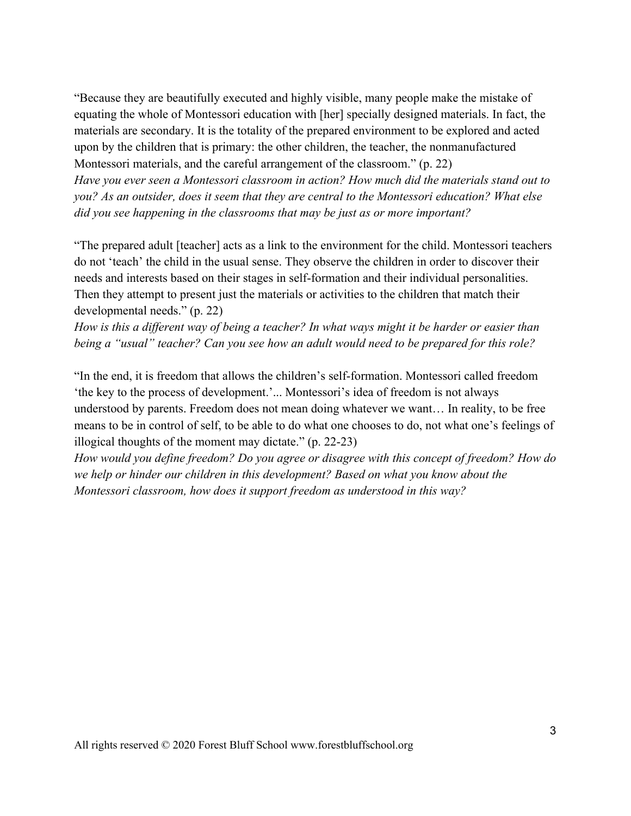"Because they are beautifully executed and highly visible, many people make the mistake of equating the whole of Montessori education with [her] specially designed materials. In fact, the materials are secondary. It is the totality of the prepared environment to be explored and acted upon by the children that is primary: the other children, the teacher, the nonmanufactured Montessori materials, and the careful arrangement of the classroom." (p. 22)

*Have you ever seen a Montessori classroom in action? How much did the materials stand out to you? As an outsider, does it seem that they are central to the Montessori education? What else did you see happening in the classrooms that may be just as or more important?*

"The prepared adult [teacher] acts as a link to the environment for the child. Montessori teachers do not 'teach' the child in the usual sense. They observe the children in order to discover their needs and interests based on their stages in self-formation and their individual personalities. Then they attempt to present just the materials or activities to the children that match their developmental needs." (p. 22)

*How is this a different way of being a teacher? In what ways might it be harder or easier than being a "usual" teacher? Can you see how an adult would need to be prepared for this role?*

"In the end, it is freedom that allows the children's self-formation. Montessori called freedom 'the key to the process of development.'... Montessori's idea of freedom is not always understood by parents. Freedom does not mean doing whatever we want… In reality, to be free means to be in control of self, to be able to do what one chooses to do, not what one's feelings of illogical thoughts of the moment may dictate." (p. 22-23)

*How would you define freedom? Do you agree or disagree with this concept of freedom? How do we help or hinder our children in this development? Based on what you know about the Montessori classroom, how does it support freedom as understood in this way?*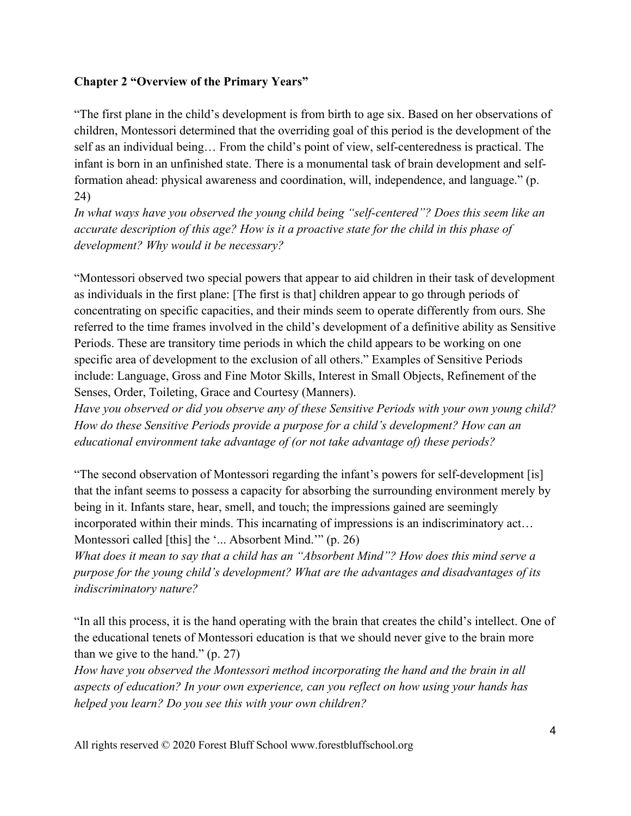### **Chapter 2 "Overview of the Primary Years"**

"The first plane in the child's development is from birth to age six. Based on her observations of children, Montessori determined that the overriding goal of this period is the development of the self as an individual being… From the child's point of view, self-centeredness is practical. The infant is born in an unfinished state. There is a monumental task of brain development and selfformation ahead: physical awareness and coordination, will, independence, and language." (p. 24)

*In what ways have you observed the young child being "self-centered"? Does this seem like an accurate description of this age? How is it a proactive state for the child in this phase of development? Why would it be necessary?*

"Montessori observed two special powers that appear to aid children in their task of development as individuals in the first plane: [The first is that] children appear to go through periods of concentrating on specific capacities, and their minds seem to operate differently from ours. She referred to the time frames involved in the child's development of a definitive ability as Sensitive Periods. These are transitory time periods in which the child appears to be working on one specific area of development to the exclusion of all others." Examples of Sensitive Periods include: Language, Gross and Fine Motor Skills, Interest in Small Objects, Refinement of the Senses, Order, Toileting, Grace and Courtesy (Manners).

*Have you observed or did you observe any of these Sensitive Periods with your own young child? How do these Sensitive Periods provide a purpose for a child's development? How can an educational environment take advantage of (or not take advantage of) these periods?*

"The second observation of Montessori regarding the infant's powers for self-development [is] that the infant seems to possess a capacity for absorbing the surrounding environment merely by being in it. Infants stare, hear, smell, and touch; the impressions gained are seemingly incorporated within their minds. This incarnating of impressions is an indiscriminatory act… Montessori called [this] the '... Absorbent Mind.'" (p. 26)

*What does it mean to say that a child has an "Absorbent Mind"? How does this mind serve a purpose for the young child's development? What are the advantages and disadvantages of its indiscriminatory nature?*

"In all this process, it is the hand operating with the brain that creates the child's intellect. One of the educational tenets of Montessori education is that we should never give to the brain more than we give to the hand." (p. 27)

*How have you observed the Montessori method incorporating the hand and the brain in all aspects of education? In your own experience, can you reflect on how using your hands has helped you learn? Do you see this with your own children?*

All rights reserved © 2020 Forest Bluff School www.forestbluffschool.org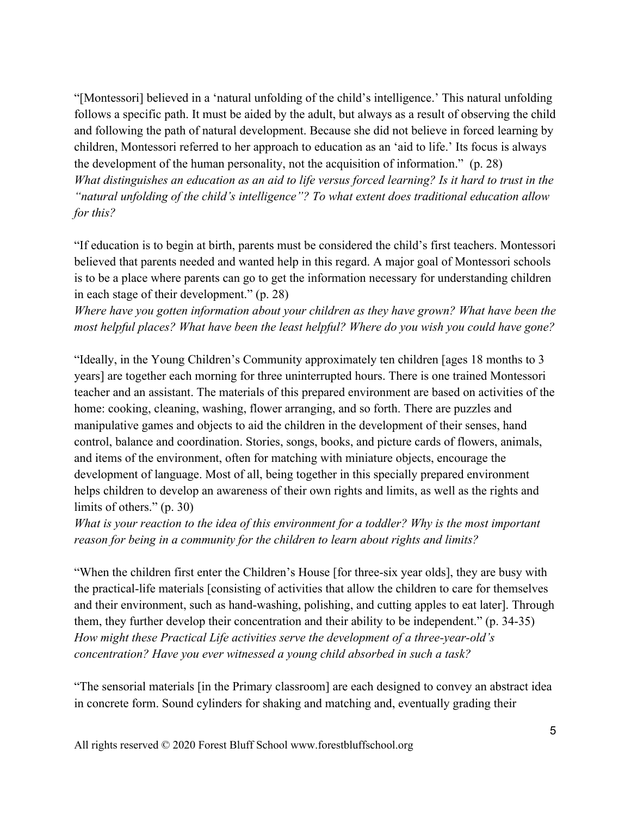"[Montessori] believed in a 'natural unfolding of the child's intelligence.' This natural unfolding follows a specific path. It must be aided by the adult, but always as a result of observing the child and following the path of natural development. Because she did not believe in forced learning by children, Montessori referred to her approach to education as an 'aid to life.' Its focus is always the development of the human personality, not the acquisition of information." (p. 28) *What distinguishes an education as an aid to life versus forced learning? Is it hard to trust in the "natural unfolding of the child's intelligence"? To what extent does traditional education allow for this?*

"If education is to begin at birth, parents must be considered the child's first teachers. Montessori believed that parents needed and wanted help in this regard. A major goal of Montessori schools is to be a place where parents can go to get the information necessary for understanding children in each stage of their development." (p. 28)

*Where have you gotten information about your children as they have grown? What have been the most helpful places? What have been the least helpful? Where do you wish you could have gone?*

"Ideally, in the Young Children's Community approximately ten children [ages 18 months to 3 years] are together each morning for three uninterrupted hours. There is one trained Montessori teacher and an assistant. The materials of this prepared environment are based on activities of the home: cooking, cleaning, washing, flower arranging, and so forth. There are puzzles and manipulative games and objects to aid the children in the development of their senses, hand control, balance and coordination. Stories, songs, books, and picture cards of flowers, animals, and items of the environment, often for matching with miniature objects, encourage the development of language. Most of all, being together in this specially prepared environment helps children to develop an awareness of their own rights and limits, as well as the rights and limits of others." (p. 30)

*What is your reaction to the idea of this environment for a toddler? Why is the most important reason for being in a community for the children to learn about rights and limits?* 

"When the children first enter the Children's House [for three-six year olds], they are busy with the practical-life materials [consisting of activities that allow the children to care for themselves and their environment, such as hand-washing, polishing, and cutting apples to eat later]. Through them, they further develop their concentration and their ability to be independent." (p. 34-35) *How might these Practical Life activities serve the development of a three-year-old's concentration? Have you ever witnessed a young child absorbed in such a task?*

"The sensorial materials [in the Primary classroom] are each designed to convey an abstract idea in concrete form. Sound cylinders for shaking and matching and, eventually grading their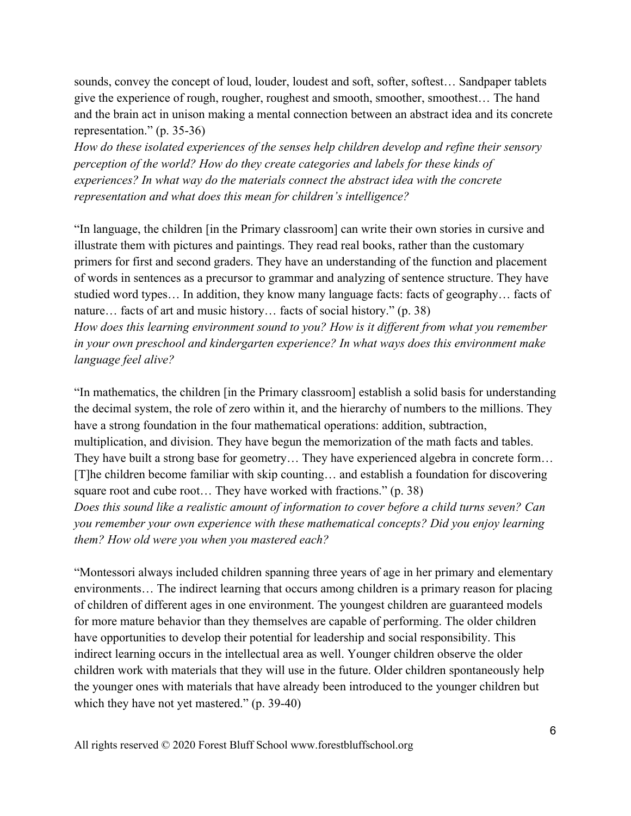sounds, convey the concept of loud, louder, loudest and soft, softer, softest… Sandpaper tablets give the experience of rough, rougher, roughest and smooth, smoother, smoothest… The hand and the brain act in unison making a mental connection between an abstract idea and its concrete representation." (p. 35-36)

*How do these isolated experiences of the senses help children develop and refine their sensory perception of the world? How do they create categories and labels for these kinds of experiences? In what way do the materials connect the abstract idea with the concrete representation and what does this mean for children's intelligence?*

"In language, the children [in the Primary classroom] can write their own stories in cursive and illustrate them with pictures and paintings. They read real books, rather than the customary primers for first and second graders. They have an understanding of the function and placement of words in sentences as a precursor to grammar and analyzing of sentence structure. They have studied word types… In addition, they know many language facts: facts of geography… facts of nature… facts of art and music history… facts of social history." (p. 38)

*How does this learning environment sound to you? How is it different from what you remember in your own preschool and kindergarten experience? In what ways does this environment make language feel alive?*

"In mathematics, the children [in the Primary classroom] establish a solid basis for understanding the decimal system, the role of zero within it, and the hierarchy of numbers to the millions. They have a strong foundation in the four mathematical operations: addition, subtraction, multiplication, and division. They have begun the memorization of the math facts and tables. They have built a strong base for geometry… They have experienced algebra in concrete form… [T]he children become familiar with skip counting… and establish a foundation for discovering square root and cube root… They have worked with fractions." (p. 38) *Does this sound like a realistic amount of information to cover before a child turns seven? Can you remember your own experience with these mathematical concepts? Did you enjoy learning them? How old were you when you mastered each?*

"Montessori always included children spanning three years of age in her primary and elementary environments… The indirect learning that occurs among children is a primary reason for placing of children of different ages in one environment. The youngest children are guaranteed models for more mature behavior than they themselves are capable of performing. The older children have opportunities to develop their potential for leadership and social responsibility. This indirect learning occurs in the intellectual area as well. Younger children observe the older children work with materials that they will use in the future. Older children spontaneously help the younger ones with materials that have already been introduced to the younger children but which they have not yet mastered." (p. 39-40)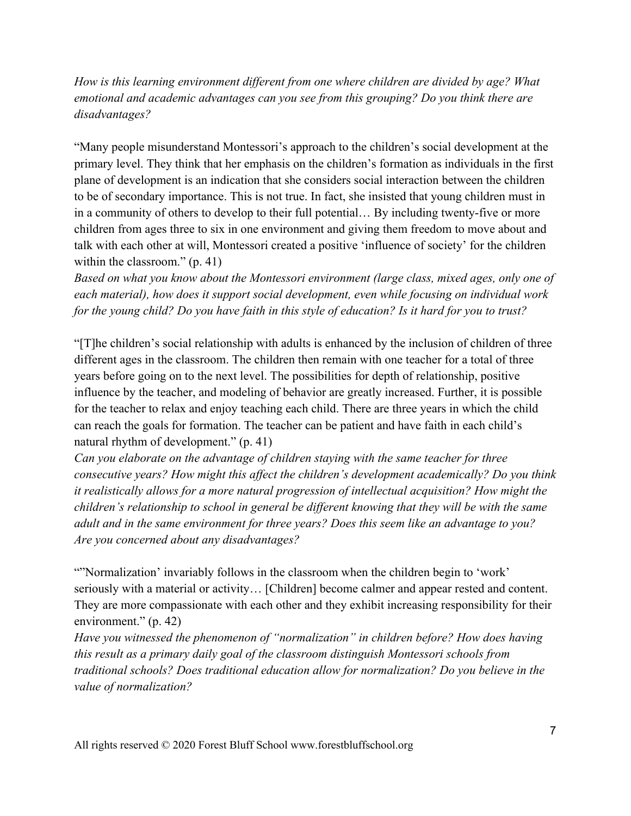*How is this learning environment different from one where children are divided by age? What emotional and academic advantages can you see from this grouping? Do you think there are disadvantages?*

"Many people misunderstand Montessori's approach to the children's social development at the primary level. They think that her emphasis on the children's formation as individuals in the first plane of development is an indication that she considers social interaction between the children to be of secondary importance. This is not true. In fact, she insisted that young children must in in a community of others to develop to their full potential… By including twenty-five or more children from ages three to six in one environment and giving them freedom to move about and talk with each other at will, Montessori created a positive 'influence of society' for the children within the classroom." (p. 41)

*Based on what you know about the Montessori environment (large class, mixed ages, only one of each material), how does it support social development, even while focusing on individual work for the young child? Do you have faith in this style of education? Is it hard for you to trust?* 

"[T]he children's social relationship with adults is enhanced by the inclusion of children of three different ages in the classroom. The children then remain with one teacher for a total of three years before going on to the next level. The possibilities for depth of relationship, positive influence by the teacher, and modeling of behavior are greatly increased. Further, it is possible for the teacher to relax and enjoy teaching each child. There are three years in which the child can reach the goals for formation. The teacher can be patient and have faith in each child's natural rhythm of development." (p. 41)

*Can you elaborate on the advantage of children staying with the same teacher for three consecutive years? How might this affect the children's development academically? Do you think it realistically allows for a more natural progression of intellectual acquisition? How might the children's relationship to school in general be different knowing that they will be with the same adult and in the same environment for three years? Does this seem like an advantage to you? Are you concerned about any disadvantages?*

""Normalization' invariably follows in the classroom when the children begin to 'work' seriously with a material or activity… [Children] become calmer and appear rested and content. They are more compassionate with each other and they exhibit increasing responsibility for their environment." (p. 42)

*Have you witnessed the phenomenon of "normalization" in children before? How does having this result as a primary daily goal of the classroom distinguish Montessori schools from traditional schools? Does traditional education allow for normalization? Do you believe in the value of normalization?*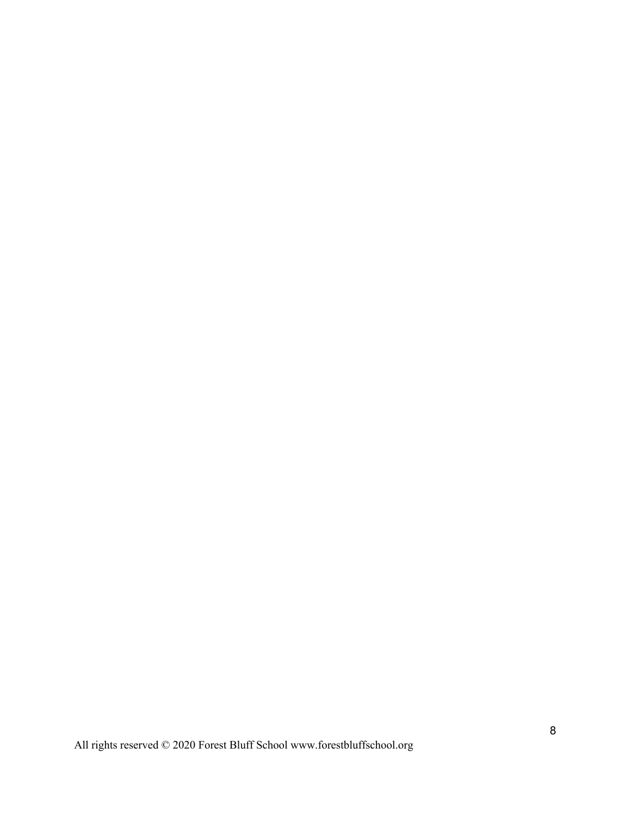All rights reserved © 2020 Forest Bluff Schoo l www.forestbluffschool.org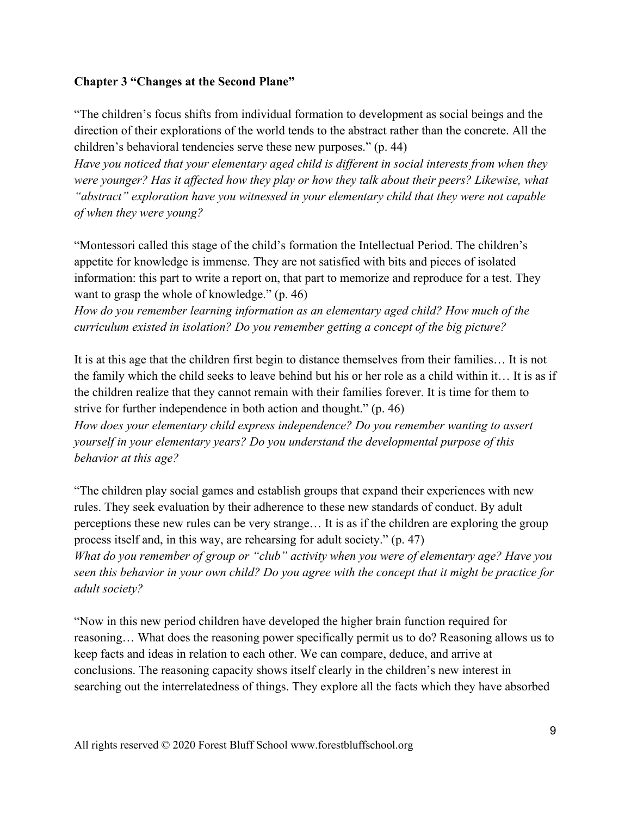### **Chapter 3 "Changes at the Second Plane"**

"The children's focus shifts from individual formation to development as social beings and the direction of their explorations of the world tends to the abstract rather than the concrete. All the children's behavioral tendencies serve these new purposes." (p. 44)

*Have you noticed that your elementary aged child is different in social interests from when they were younger? Has it affected how they play or how they talk about their peers? Likewise, what "abstract" exploration have you witnessed in your elementary child that they were not capable of when they were young?*

"Montessori called this stage of the child's formation the Intellectual Period. The children's appetite for knowledge is immense. They are not satisfied with bits and pieces of isolated information: this part to write a report on, that part to memorize and reproduce for a test. They want to grasp the whole of knowledge." (p. 46)

*How do you remember learning information as an elementary aged child? How much of the curriculum existed in isolation? Do you remember getting a concept of the big picture?*

It is at this age that the children first begin to distance themselves from their families… It is not the family which the child seeks to leave behind but his or her role as a child within it… It is as if the children realize that they cannot remain with their families forever. It is time for them to strive for further independence in both action and thought." (p. 46)

*How does your elementary child express independence? Do you remember wanting to assert yourself in your elementary years? Do you understand the developmental purpose of this behavior at this age?*

"The children play social games and establish groups that expand their experiences with new rules. They seek evaluation by their adherence to these new standards of conduct. By adult perceptions these new rules can be very strange… It is as if the children are exploring the group process itself and, in this way, are rehearsing for adult society." (p. 47)

*What do you remember of group or "club" activity when you were of elementary age? Have you seen this behavior in your own child? Do you agree with the concept that it might be practice for adult society?*

"Now in this new period children have developed the higher brain function required for reasoning… What does the reasoning power specifically permit us to do? Reasoning allows us to keep facts and ideas in relation to each other. We can compare, deduce, and arrive at conclusions. The reasoning capacity shows itself clearly in the children's new interest in searching out the interrelatedness of things. They explore all the facts which they have absorbed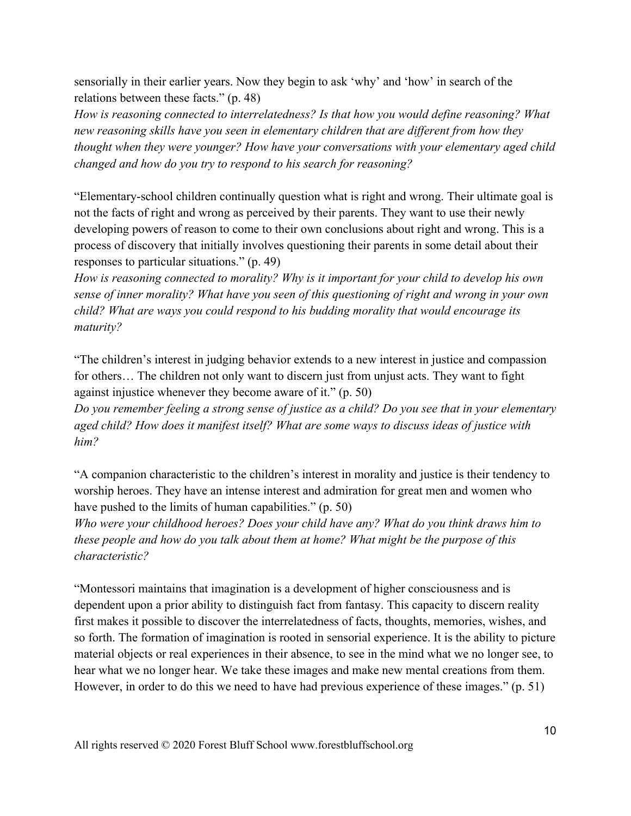sensorially in their earlier years. Now they begin to ask 'why' and 'how' in search of the relations between these facts." (p. 48)

*How is reasoning connected to interrelatedness? Is that how you would define reasoning? What new reasoning skills have you seen in elementary children that are different from how they thought when they were younger? How have your conversations with your elementary aged child changed and how do you try to respond to his search for reasoning?*

"Elementary-school children continually question what is right and wrong. Their ultimate goal is not the facts of right and wrong as perceived by their parents. They want to use their newly developing powers of reason to come to their own conclusions about right and wrong. This is a process of discovery that initially involves questioning their parents in some detail about their responses to particular situations." (p. 49)

*How is reasoning connected to morality? Why is it important for your child to develop his own sense of inner morality? What have you seen of this questioning of right and wrong in your own child? What are ways you could respond to his budding morality that would encourage its maturity?* 

"The children's interest in judging behavior extends to a new interest in justice and compassion for others… The children not only want to discern just from unjust acts. They want to fight against injustice whenever they become aware of it." (p. 50)

*Do you remember feeling a strong sense of justice as a child? Do you see that in your elementary aged child? How does it manifest itself? What are some ways to discuss ideas of justice with him?* 

"A companion characteristic to the children's interest in morality and justice is their tendency to worship heroes. They have an intense interest and admiration for great men and women who have pushed to the limits of human capabilities." (p. 50)

*Who were your childhood heroes? Does your child have any? What do you think draws him to these people and how do you talk about them at home? What might be the purpose of this characteristic?*

"Montessori maintains that imagination is a development of higher consciousness and is dependent upon a prior ability to distinguish fact from fantasy. This capacity to discern reality first makes it possible to discover the interrelatedness of facts, thoughts, memories, wishes, and so forth. The formation of imagination is rooted in sensorial experience. It is the ability to picture material objects or real experiences in their absence, to see in the mind what we no longer see, to hear what we no longer hear. We take these images and make new mental creations from them. However, in order to do this we need to have had previous experience of these images." (p. 51)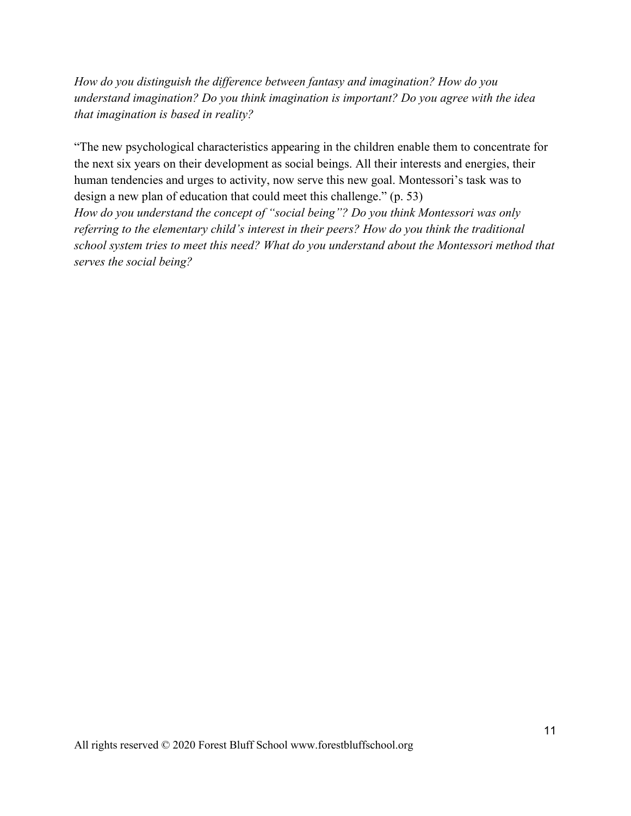*How do you distinguish the difference between fantasy and imagination? How do you understand imagination? Do you think imagination is important? Do you agree with the idea that imagination is based in reality?* 

"The new psychological characteristics appearing in the children enable them to concentrate for the next six years on their development as social beings. All their interests and energies, their human tendencies and urges to activity, now serve this new goal. Montessori's task was to design a new plan of education that could meet this challenge." (p. 53) *How do you understand the concept of "social being"? Do you think Montessori was only referring to the elementary child's interest in their peers? How do you think the traditional school system tries to meet this need? What do you understand about the Montessori method that serves the social being?*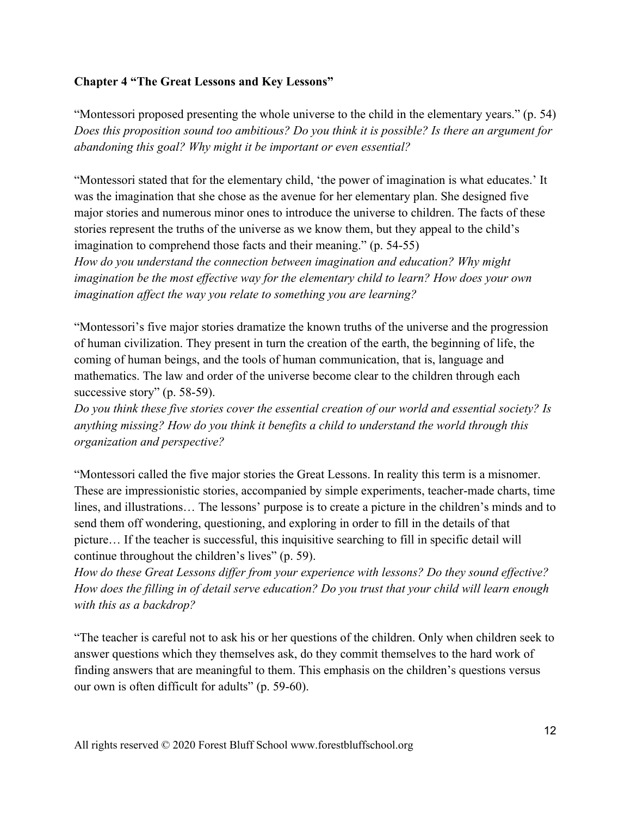#### **Chapter 4 "The Great Lessons and Key Lessons"**

"Montessori proposed presenting the whole universe to the child in the elementary years." (p. 54) *Does this proposition sound too ambitious? Do you think it is possible? Is there an argument for abandoning this goal? Why might it be important or even essential?*

"Montessori stated that for the elementary child, 'the power of imagination is what educates.' It was the imagination that she chose as the avenue for her elementary plan. She designed five major stories and numerous minor ones to introduce the universe to children. The facts of these stories represent the truths of the universe as we know them, but they appeal to the child's imagination to comprehend those facts and their meaning." (p. 54-55) *How do you understand the connection between imagination and education? Why might imagination be the most effective way for the elementary child to learn? How does your own* 

*imagination affect the way you relate to something you are learning?*

"Montessori's five major stories dramatize the known truths of the universe and the progression of human civilization. They present in turn the creation of the earth, the beginning of life, the coming of human beings, and the tools of human communication, that is, language and mathematics. The law and order of the universe become clear to the children through each successive story" (p. 58-59).

*Do you think these five stories cover the essential creation of our world and essential society? Is anything missing? How do you think it benefits a child to understand the world through this organization and perspective?*

"Montessori called the five major stories the Great Lessons. In reality this term is a misnomer. These are impressionistic stories, accompanied by simple experiments, teacher-made charts, time lines, and illustrations… The lessons' purpose is to create a picture in the children's minds and to send them off wondering, questioning, and exploring in order to fill in the details of that picture… If the teacher is successful, this inquisitive searching to fill in specific detail will continue throughout the children's lives" (p. 59).

*How do these Great Lessons differ from your experience with lessons? Do they sound effective? How does the filling in of detail serve education? Do you trust that your child will learn enough with this as a backdrop?* 

"The teacher is careful not to ask his or her questions of the children. Only when children seek to answer questions which they themselves ask, do they commit themselves to the hard work of finding answers that are meaningful to them. This emphasis on the children's questions versus our own is often difficult for adults" (p. 59-60).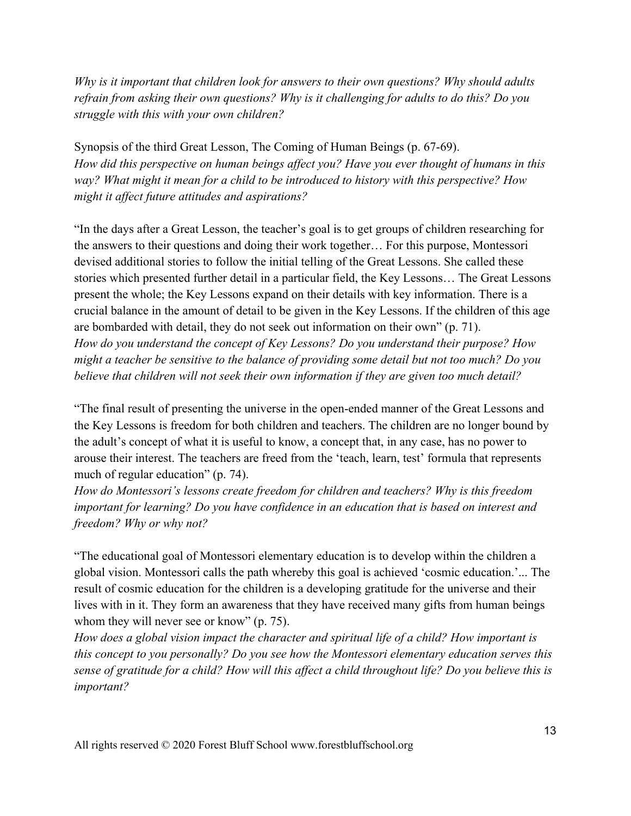*Why is it important that children look for answers to their own questions? Why should adults refrain from asking their own questions? Why is it challenging for adults to do this? Do you struggle with this with your own children?*

Synopsis of the third Great Lesson, The Coming of Human Beings (p. 67-69). *How did this perspective on human beings affect you? Have you ever thought of humans in this way? What might it mean for a child to be introduced to history with this perspective? How might it affect future attitudes and aspirations?*

"In the days after a Great Lesson, the teacher's goal is to get groups of children researching for the answers to their questions and doing their work together… For this purpose, Montessori devised additional stories to follow the initial telling of the Great Lessons. She called these stories which presented further detail in a particular field, the Key Lessons… The Great Lessons present the whole; the Key Lessons expand on their details with key information. There is a crucial balance in the amount of detail to be given in the Key Lessons. If the children of this age are bombarded with detail, they do not seek out information on their own" (p. 71). *How do you understand the concept of Key Lessons? Do you understand their purpose? How might a teacher be sensitive to the balance of providing some detail but not too much? Do you believe that children will not seek their own information if they are given too much detail?*

"The final result of presenting the universe in the open-ended manner of the Great Lessons and the Key Lessons is freedom for both children and teachers. The children are no longer bound by the adult's concept of what it is useful to know, a concept that, in any case, has no power to arouse their interest. The teachers are freed from the 'teach, learn, test' formula that represents much of regular education" (p. 74).

*How do Montessori's lessons create freedom for children and teachers? Why is this freedom important for learning? Do you have confidence in an education that is based on interest and freedom? Why or why not?*

"The educational goal of Montessori elementary education is to develop within the children a global vision. Montessori calls the path whereby this goal is achieved 'cosmic education.'... The result of cosmic education for the children is a developing gratitude for the universe and their lives with in it. They form an awareness that they have received many gifts from human beings whom they will never see or know" (p. 75).

*How does a global vision impact the character and spiritual life of a child? How important is this concept to you personally? Do you see how the Montessori elementary education serves this sense of gratitude for a child? How will this affect a child throughout life? Do you believe this is important?*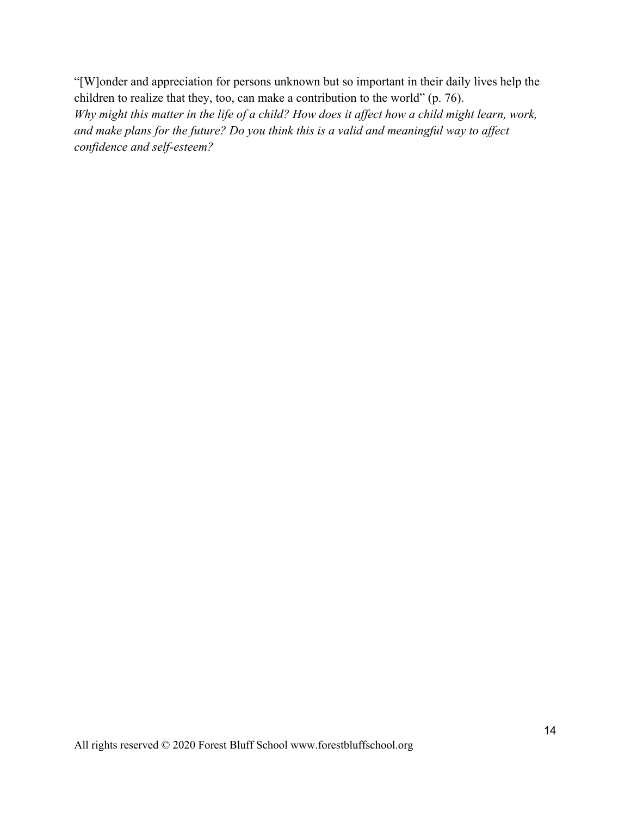"[W]onder and appreciation for persons unknown but so important in their daily lives help the children to realize that they, too, can make a contribution to the world" (p. 76). *Why might this matter in the life of a child? How does it affect how a child might learn, work, and make plans for the future? Do you think this is a valid and meaningful way to affect confidence and self-esteem?*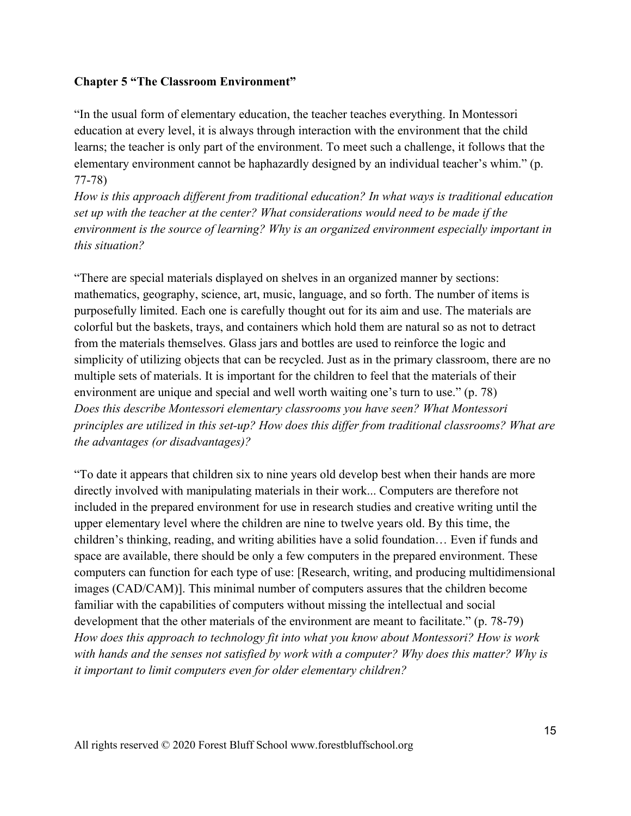#### **Chapter 5 "The Classroom Environment"**

"In the usual form of elementary education, the teacher teaches everything. In Montessori education at every level, it is always through interaction with the environment that the child learns; the teacher is only part of the environment. To meet such a challenge, it follows that the elementary environment cannot be haphazardly designed by an individual teacher's whim." (p. 77-78)

*How is this approach different from traditional education? In what ways is traditional education set up with the teacher at the center? What considerations would need to be made if the environment is the source of learning? Why is an organized environment especially important in this situation?*

"There are special materials displayed on shelves in an organized manner by sections: mathematics, geography, science, art, music, language, and so forth. The number of items is purposefully limited. Each one is carefully thought out for its aim and use. The materials are colorful but the baskets, trays, and containers which hold them are natural so as not to detract from the materials themselves. Glass jars and bottles are used to reinforce the logic and simplicity of utilizing objects that can be recycled. Just as in the primary classroom, there are no multiple sets of materials. It is important for the children to feel that the materials of their environment are unique and special and well worth waiting one's turn to use." (p. 78) *Does this describe Montessori elementary classrooms you have seen? What Montessori principles are utilized in this set-up? How does this differ from traditional classrooms? What are the advantages (or disadvantages)?*

"To date it appears that children six to nine years old develop best when their hands are more directly involved with manipulating materials in their work... Computers are therefore not included in the prepared environment for use in research studies and creative writing until the upper elementary level where the children are nine to twelve years old. By this time, the children's thinking, reading, and writing abilities have a solid foundation… Even if funds and space are available, there should be only a few computers in the prepared environment. These computers can function for each type of use: [Research, writing, and producing multidimensional images (CAD/CAM)]. This minimal number of computers assures that the children become familiar with the capabilities of computers without missing the intellectual and social development that the other materials of the environment are meant to facilitate." (p. 78-79) *How does this approach to technology fit into what you know about Montessori? How is work with hands and the senses not satisfied by work with a computer? Why does this matter? Why is it important to limit computers even for older elementary children?*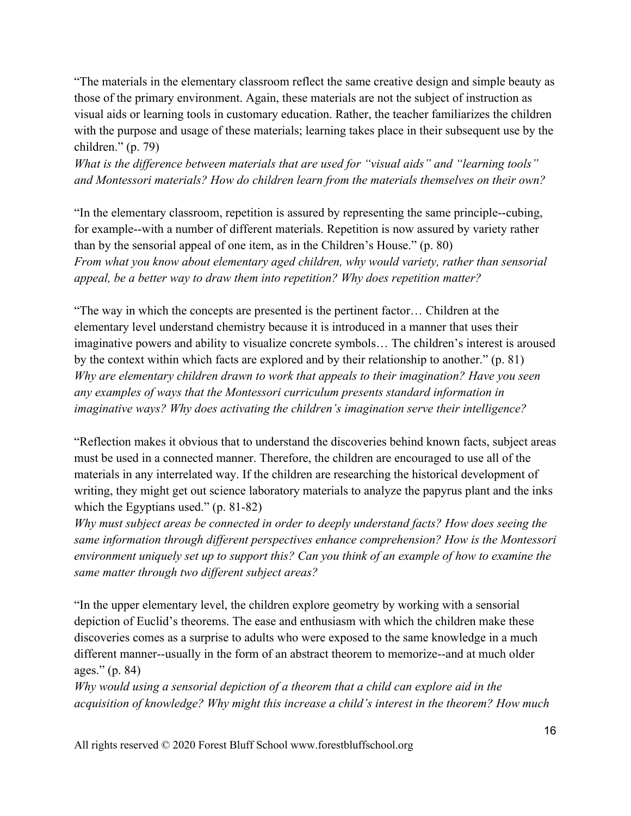"The materials in the elementary classroom reflect the same creative design and simple beauty as those of the primary environment. Again, these materials are not the subject of instruction as visual aids or learning tools in customary education. Rather, the teacher familiarizes the children with the purpose and usage of these materials; learning takes place in their subsequent use by the children." (p. 79)

*What is the difference between materials that are used for "visual aids" and "learning tools" and Montessori materials? How do children learn from the materials themselves on their own?* 

"In the elementary classroom, repetition is assured by representing the same principle--cubing, for example--with a number of different materials. Repetition is now assured by variety rather than by the sensorial appeal of one item, as in the Children's House." (p. 80) *From what you know about elementary aged children, why would variety, rather than sensorial appeal, be a better way to draw them into repetition? Why does repetition matter?*

"The way in which the concepts are presented is the pertinent factor… Children at the elementary level understand chemistry because it is introduced in a manner that uses their imaginative powers and ability to visualize concrete symbols… The children's interest is aroused by the context within which facts are explored and by their relationship to another." (p. 81) *Why are elementary children drawn to work that appeals to their imagination? Have you seen any examples of ways that the Montessori curriculum presents standard information in imaginative ways? Why does activating the children's imagination serve their intelligence?* 

"Reflection makes it obvious that to understand the discoveries behind known facts, subject areas must be used in a connected manner. Therefore, the children are encouraged to use all of the materials in any interrelated way. If the children are researching the historical development of writing, they might get out science laboratory materials to analyze the papyrus plant and the inks which the Egyptians used." (p. 81-82)

*Why must subject areas be connected in order to deeply understand facts? How does seeing the same information through different perspectives enhance comprehension? How is the Montessori environment uniquely set up to support this? Can you think of an example of how to examine the same matter through two different subject areas?*

"In the upper elementary level, the children explore geometry by working with a sensorial depiction of Euclid's theorems. The ease and enthusiasm with which the children make these discoveries comes as a surprise to adults who were exposed to the same knowledge in a much different manner--usually in the form of an abstract theorem to memorize--and at much older ages." (p. 84)

*Why would using a sensorial depiction of a theorem that a child can explore aid in the acquisition of knowledge? Why might this increase a child's interest in the theorem? How much*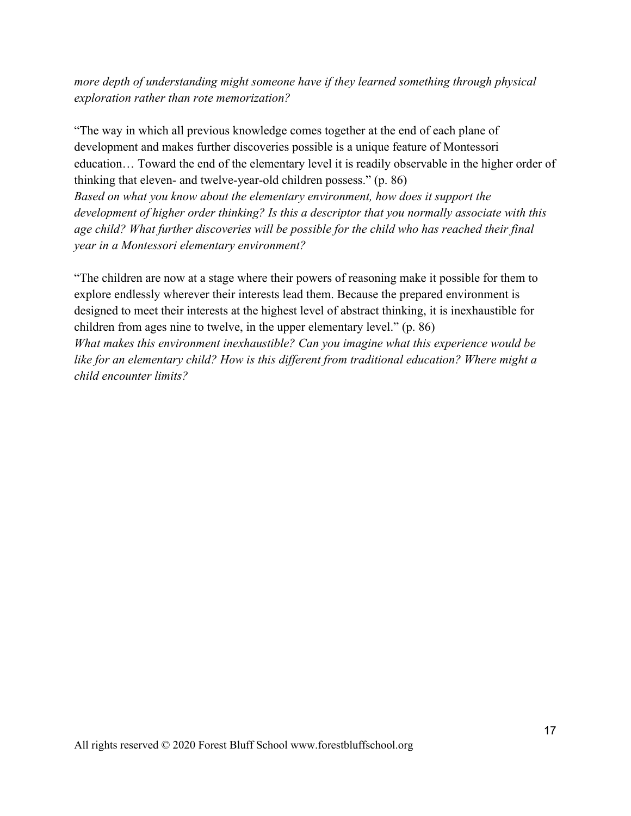*more depth of understanding might someone have if they learned something through physical exploration rather than rote memorization?*

"The way in which all previous knowledge comes together at the end of each plane of development and makes further discoveries possible is a unique feature of Montessori education… Toward the end of the elementary level it is readily observable in the higher order of thinking that eleven- and twelve-year-old children possess." (p. 86) *Based on what you know about the elementary environment, how does it support the development of higher order thinking? Is this a descriptor that you normally associate with this age child? What further discoveries will be possible for the child who has reached their final year in a Montessori elementary environment?*

"The children are now at a stage where their powers of reasoning make it possible for them to explore endlessly wherever their interests lead them. Because the prepared environment is designed to meet their interests at the highest level of abstract thinking, it is inexhaustible for children from ages nine to twelve, in the upper elementary level." (p. 86)

*What makes this environment inexhaustible? Can you imagine what this experience would be like for an elementary child? How is this different from traditional education? Where might a child encounter limits?*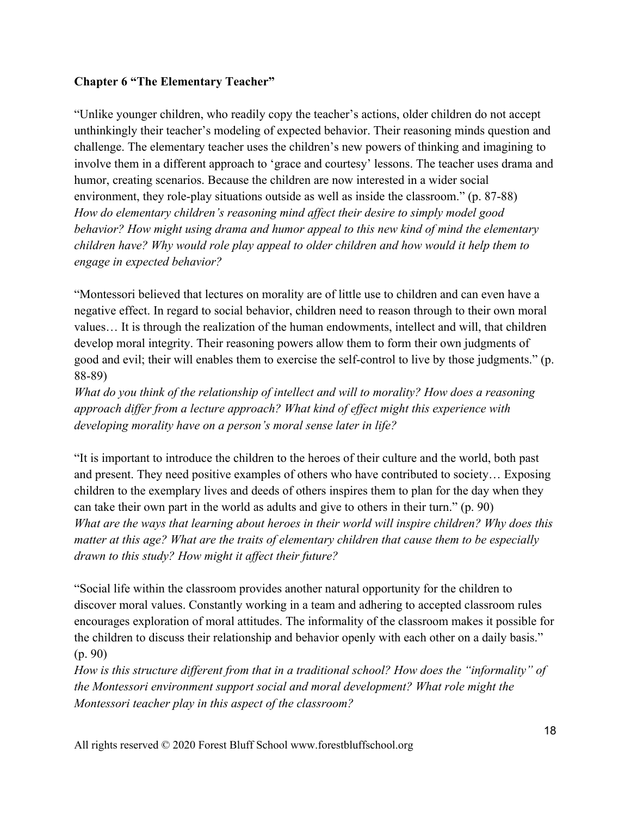### **Chapter 6 "The Elementary Teacher"**

"Unlike younger children, who readily copy the teacher's actions, older children do not accept unthinkingly their teacher's modeling of expected behavior. Their reasoning minds question and challenge. The elementary teacher uses the children's new powers of thinking and imagining to involve them in a different approach to 'grace and courtesy' lessons. The teacher uses drama and humor, creating scenarios. Because the children are now interested in a wider social environment, they role-play situations outside as well as inside the classroom." (p. 87-88) *How do elementary children's reasoning mind affect their desire to simply model good behavior? How might using drama and humor appeal to this new kind of mind the elementary children have? Why would role play appeal to older children and how would it help them to engage in expected behavior?*

"Montessori believed that lectures on morality are of little use to children and can even have a negative effect. In regard to social behavior, children need to reason through to their own moral values… It is through the realization of the human endowments, intellect and will, that children develop moral integrity. Their reasoning powers allow them to form their own judgments of good and evil; their will enables them to exercise the self-control to live by those judgments." (p. 88-89)

*What do you think of the relationship of intellect and will to morality? How does a reasoning approach differ from a lecture approach? What kind of effect might this experience with developing morality have on a person's moral sense later in life?*

"It is important to introduce the children to the heroes of their culture and the world, both past and present. They need positive examples of others who have contributed to society… Exposing children to the exemplary lives and deeds of others inspires them to plan for the day when they can take their own part in the world as adults and give to others in their turn." (p. 90) *What are the ways that learning about heroes in their world will inspire children? Why does this matter at this age? What are the traits of elementary children that cause them to be especially drawn to this study? How might it affect their future?*

"Social life within the classroom provides another natural opportunity for the children to discover moral values. Constantly working in a team and adhering to accepted classroom rules encourages exploration of moral attitudes. The informality of the classroom makes it possible for the children to discuss their relationship and behavior openly with each other on a daily basis." (p. 90)

*How is this structure different from that in a traditional school? How does the "informality" of the Montessori environment support social and moral development? What role might the Montessori teacher play in this aspect of the classroom?*

All rights reserved © 2020 Forest Bluff School www.forestbluffschool.org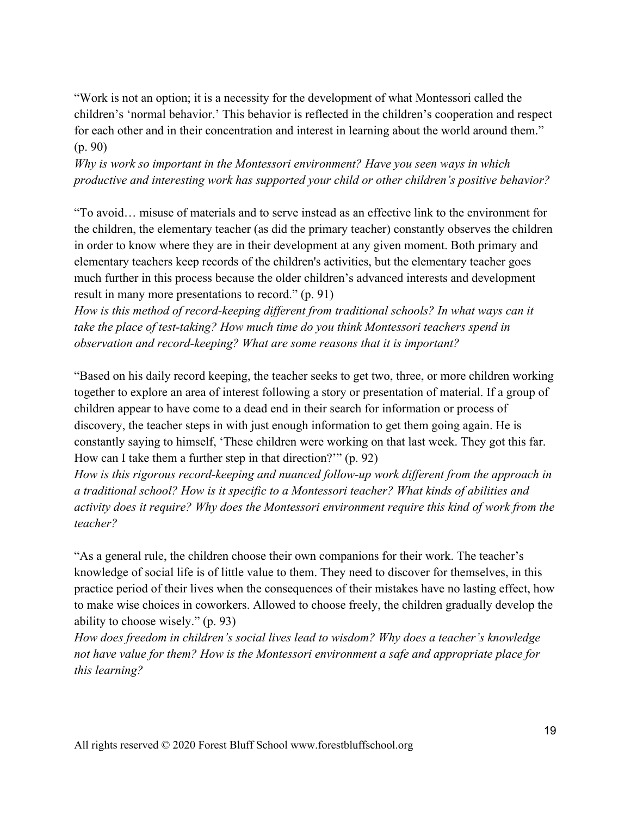"Work is not an option; it is a necessity for the development of what Montessori called the children's 'normal behavior.' This behavior is reflected in the children's cooperation and respect for each other and in their concentration and interest in learning about the world around them." (p. 90)

*Why is work so important in the Montessori environment? Have you seen ways in which productive and interesting work has supported your child or other children's positive behavior?*

"To avoid… misuse of materials and to serve instead as an effective link to the environment for the children, the elementary teacher (as did the primary teacher) constantly observes the children in order to know where they are in their development at any given moment. Both primary and elementary teachers keep records of the children's activities, but the elementary teacher goes much further in this process because the older children's advanced interests and development result in many more presentations to record." (p. 91)

*How is this method of record-keeping different from traditional schools? In what ways can it take the place of test-taking? How much time do you think Montessori teachers spend in observation and record-keeping? What are some reasons that it is important?*

"Based on his daily record keeping, the teacher seeks to get two, three, or more children working together to explore an area of interest following a story or presentation of material. If a group of children appear to have come to a dead end in their search for information or process of discovery, the teacher steps in with just enough information to get them going again. He is constantly saying to himself, 'These children were working on that last week. They got this far. How can I take them a further step in that direction?'" (p. 92)

*How is this rigorous record-keeping and nuanced follow-up work different from the approach in a traditional school? How is it specific to a Montessori teacher? What kinds of abilities and activity does it require? Why does the Montessori environment require this kind of work from the teacher?*

"As a general rule, the children choose their own companions for their work. The teacher's knowledge of social life is of little value to them. They need to discover for themselves, in this practice period of their lives when the consequences of their mistakes have no lasting effect, how to make wise choices in coworkers. Allowed to choose freely, the children gradually develop the ability to choose wisely." (p. 93)

*How does freedom in children's social lives lead to wisdom? Why does a teacher's knowledge not have value for them? How is the Montessori environment a safe and appropriate place for this learning?*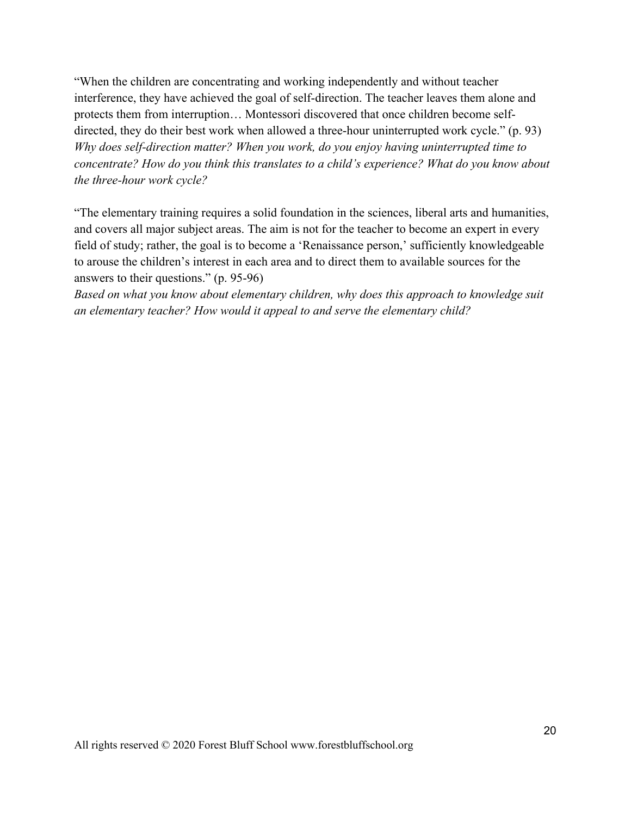"When the children are concentrating and working independently and without teacher interference, they have achieved the goal of self-direction. The teacher leaves them alone and protects them from interruption… Montessori discovered that once children become selfdirected, they do their best work when allowed a three-hour uninterrupted work cycle." (p. 93) *Why does self-direction matter? When you work, do you enjoy having uninterrupted time to concentrate? How do you think this translates to a child's experience? What do you know about the three-hour work cycle?* 

"The elementary training requires a solid foundation in the sciences, liberal arts and humanities, and covers all major subject areas. The aim is not for the teacher to become an expert in every field of study; rather, the goal is to become a 'Renaissance person,' sufficiently knowledgeable to arouse the children's interest in each area and to direct them to available sources for the answers to their questions." (p. 95-96)

*Based on what you know about elementary children, why does this approach to knowledge suit an elementary teacher? How would it appeal to and serve the elementary child?*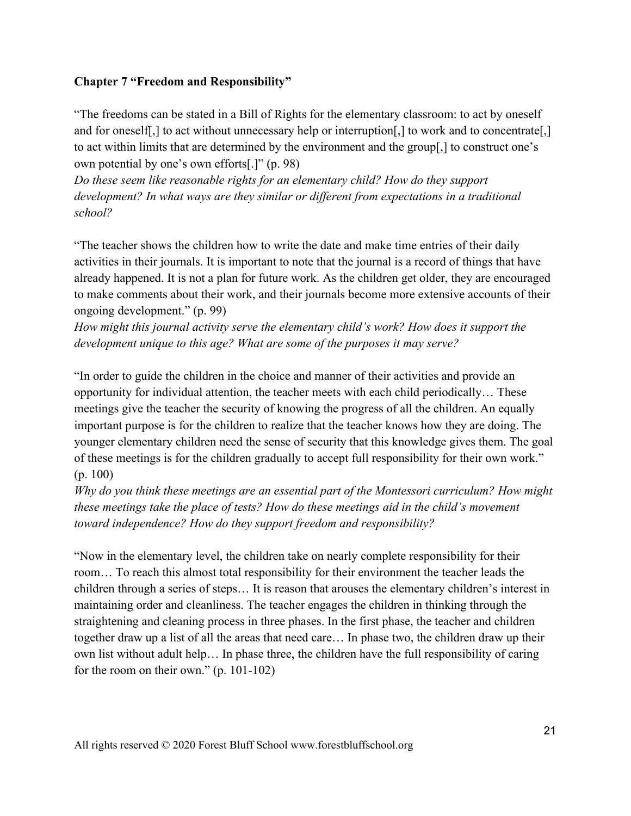#### **Chapter 7 "Freedom and Responsibility"**

"The freedoms can be stated in a Bill of Rights for the elementary classroom: to act by oneself and for oneself,  $\vert$  to act without unnecessary help or interruption  $\vert$ ,  $\vert$  to work and to concentrate  $\vert$ ,  $\vert$ to act within limits that are determined by the environment and the group[,] to construct one's own potential by one's own efforts[.]" (p. 98)

*Do these seem like reasonable rights for an elementary child? How do they support development? In what ways are they similar or different from expectations in a traditional school?*

"The teacher shows the children how to write the date and make time entries of their daily activities in their journals. It is important to note that the journal is a record of things that have already happened. It is not a plan for future work. As the children get older, they are encouraged to make comments about their work, and their journals become more extensive accounts of their ongoing development." (p. 99)

*How might this journal activity serve the elementary child's work? How does it support the development unique to this age? What are some of the purposes it may serve?*

"In order to guide the children in the choice and manner of their activities and provide an opportunity for individual attention, the teacher meets with each child periodically… These meetings give the teacher the security of knowing the progress of all the children. An equally important purpose is for the children to realize that the teacher knows how they are doing. The younger elementary children need the sense of security that this knowledge gives them. The goal of these meetings is for the children gradually to accept full responsibility for their own work." (p. 100)

*Why do you think these meetings are an essential part of the Montessori curriculum? How might these meetings take the place of tests? How do these meetings aid in the child's movement toward independence? How do they support freedom and responsibility?* 

"Now in the elementary level, the children take on nearly complete responsibility for their room… To reach this almost total responsibility for their environment the teacher leads the children through a series of steps… It is reason that arouses the elementary children's interest in maintaining order and cleanliness. The teacher engages the children in thinking through the straightening and cleaning process in three phases. In the first phase, the teacher and children together draw up a list of all the areas that need care… In phase two, the children draw up their own list without adult help… In phase three, the children have the full responsibility of caring for the room on their own." (p. 101-102)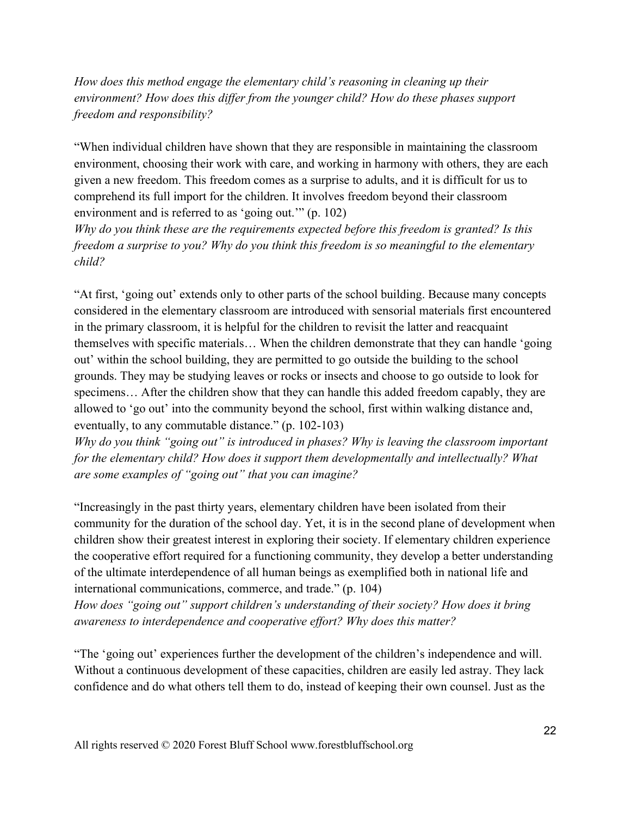*How does this method engage the elementary child's reasoning in cleaning up their environment? How does this differ from the younger child? How do these phases support freedom and responsibility?* 

"When individual children have shown that they are responsible in maintaining the classroom environment, choosing their work with care, and working in harmony with others, they are each given a new freedom. This freedom comes as a surprise to adults, and it is difficult for us to comprehend its full import for the children. It involves freedom beyond their classroom environment and is referred to as 'going out.'" (p. 102)

*Why do you think these are the requirements expected before this freedom is granted? Is this freedom a surprise to you? Why do you think this freedom is so meaningful to the elementary child?*

"At first, 'going out' extends only to other parts of the school building. Because many concepts considered in the elementary classroom are introduced with sensorial materials first encountered in the primary classroom, it is helpful for the children to revisit the latter and reacquaint themselves with specific materials… When the children demonstrate that they can handle 'going out' within the school building, they are permitted to go outside the building to the school grounds. They may be studying leaves or rocks or insects and choose to go outside to look for specimens… After the children show that they can handle this added freedom capably, they are allowed to 'go out' into the community beyond the school, first within walking distance and, eventually, to any commutable distance." (p. 102-103)

*Why do you think "going out" is introduced in phases? Why is leaving the classroom important for the elementary child? How does it support them developmentally and intellectually? What are some examples of "going out" that you can imagine?* 

"Increasingly in the past thirty years, elementary children have been isolated from their community for the duration of the school day. Yet, it is in the second plane of development when children show their greatest interest in exploring their society. If elementary children experience the cooperative effort required for a functioning community, they develop a better understanding of the ultimate interdependence of all human beings as exemplified both in national life and international communications, commerce, and trade." (p. 104)

*How does "going out" support children's understanding of their society? How does it bring awareness to interdependence and cooperative effort? Why does this matter?*

"The 'going out' experiences further the development of the children's independence and will. Without a continuous development of these capacities, children are easily led astray. They lack confidence and do what others tell them to do, instead of keeping their own counsel. Just as the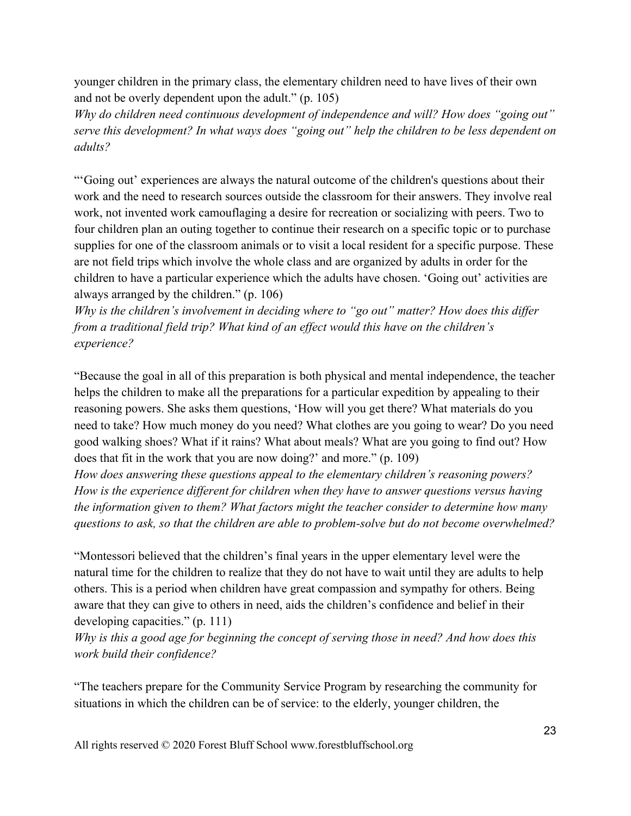younger children in the primary class, the elementary children need to have lives of their own and not be overly dependent upon the adult." (p. 105)

*Why do children need continuous development of independence and will? How does "going out" serve this development? In what ways does "going out" help the children to be less dependent on adults?*

"'Going out' experiences are always the natural outcome of the children's questions about their work and the need to research sources outside the classroom for their answers. They involve real work, not invented work camouflaging a desire for recreation or socializing with peers. Two to four children plan an outing together to continue their research on a specific topic or to purchase supplies for one of the classroom animals or to visit a local resident for a specific purpose. These are not field trips which involve the whole class and are organized by adults in order for the children to have a particular experience which the adults have chosen. 'Going out' activities are always arranged by the children." (p. 106)

*Why is the children's involvement in deciding where to "go out" matter? How does this differ from a traditional field trip? What kind of an effect would this have on the children's experience?*

"Because the goal in all of this preparation is both physical and mental independence, the teacher helps the children to make all the preparations for a particular expedition by appealing to their reasoning powers. She asks them questions, 'How will you get there? What materials do you need to take? How much money do you need? What clothes are you going to wear? Do you need good walking shoes? What if it rains? What about meals? What are you going to find out? How does that fit in the work that you are now doing?' and more." (p. 109)

*How does answering these questions appeal to the elementary children's reasoning powers? How is the experience different for children when they have to answer questions versus having the information given to them? What factors might the teacher consider to determine how many questions to ask, so that the children are able to problem-solve but do not become overwhelmed?* 

"Montessori believed that the children's final years in the upper elementary level were the natural time for the children to realize that they do not have to wait until they are adults to help others. This is a period when children have great compassion and sympathy for others. Being aware that they can give to others in need, aids the children's confidence and belief in their developing capacities." (p. 111)

*Why is this a good age for beginning the concept of serving those in need? And how does this work build their confidence?* 

"The teachers prepare for the Community Service Program by researching the community for situations in which the children can be of service: to the elderly, younger children, the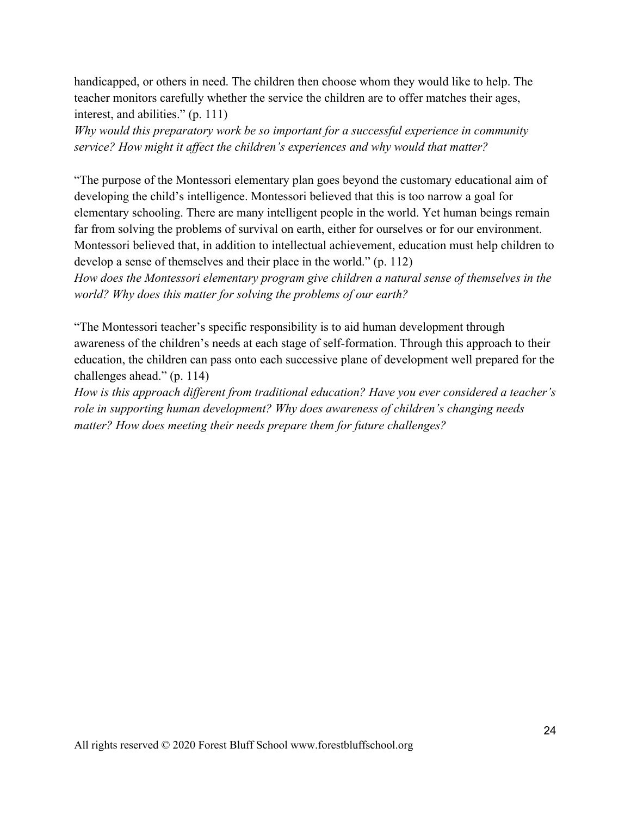handicapped, or others in need. The children then choose whom they would like to help. The teacher monitors carefully whether the service the children are to offer matches their ages, interest, and abilities." (p. 111)

*Why would this preparatory work be so important for a successful experience in community service? How might it affect the children's experiences and why would that matter?*

"The purpose of the Montessori elementary plan goes beyond the customary educational aim of developing the child's intelligence. Montessori believed that this is too narrow a goal for elementary schooling. There are many intelligent people in the world. Yet human beings remain far from solving the problems of survival on earth, either for ourselves or for our environment. Montessori believed that, in addition to intellectual achievement, education must help children to develop a sense of themselves and their place in the world." (p. 112)

*How does the Montessori elementary program give children a natural sense of themselves in the world? Why does this matter for solving the problems of our earth?* 

"The Montessori teacher's specific responsibility is to aid human development through awareness of the children's needs at each stage of self-formation. Through this approach to their education, the children can pass onto each successive plane of development well prepared for the challenges ahead." (p. 114)

*How is this approach different from traditional education? Have you ever considered a teacher's role in supporting human development? Why does awareness of children's changing needs matter? How does meeting their needs prepare them for future challenges?*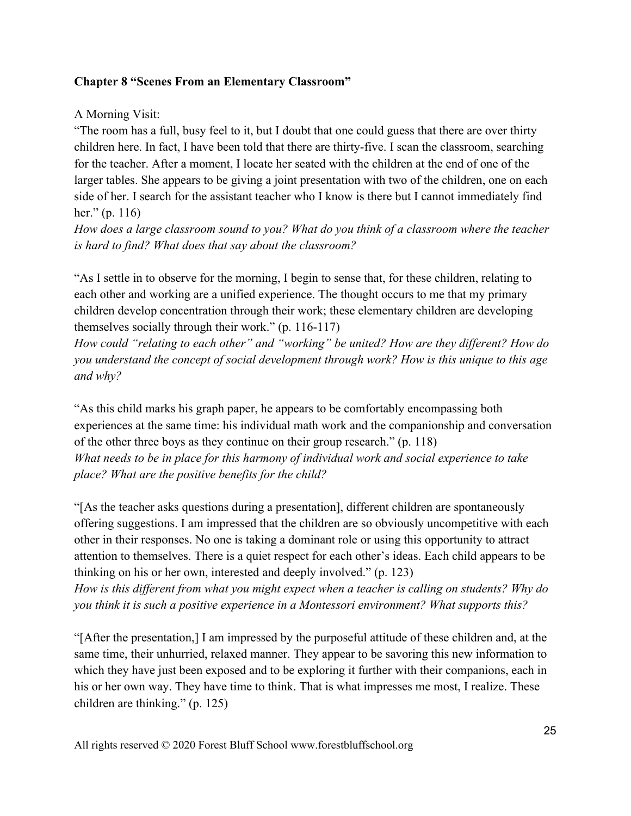### **Chapter 8 "Scenes From an Elementary Classroom"**

A Morning Visit:

"The room has a full, busy feel to it, but I doubt that one could guess that there are over thirty children here. In fact, I have been told that there are thirty-five. I scan the classroom, searching for the teacher. After a moment, I locate her seated with the children at the end of one of the larger tables. She appears to be giving a joint presentation with two of the children, one on each side of her. I search for the assistant teacher who I know is there but I cannot immediately find her." (p. 116)

*How does a large classroom sound to you? What do you think of a classroom where the teacher is hard to find? What does that say about the classroom?*

"As I settle in to observe for the morning, I begin to sense that, for these children, relating to each other and working are a unified experience. The thought occurs to me that my primary children develop concentration through their work; these elementary children are developing themselves socially through their work." (p. 116-117)

*How could "relating to each other" and "working" be united? How are they different? How do you understand the concept of social development through work? How is this unique to this age and why?*

"As this child marks his graph paper, he appears to be comfortably encompassing both experiences at the same time: his individual math work and the companionship and conversation of the other three boys as they continue on their group research." (p. 118) *What needs to be in place for this harmony of individual work and social experience to take place? What are the positive benefits for the child?*

"[As the teacher asks questions during a presentation], different children are spontaneously offering suggestions. I am impressed that the children are so obviously uncompetitive with each other in their responses. No one is taking a dominant role or using this opportunity to attract attention to themselves. There is a quiet respect for each other's ideas. Each child appears to be thinking on his or her own, interested and deeply involved." (p. 123)

*How is this different from what you might expect when a teacher is calling on students? Why do you think it is such a positive experience in a Montessori environment? What supports this?* 

"[After the presentation,] I am impressed by the purposeful attitude of these children and, at the same time, their unhurried, relaxed manner. They appear to be savoring this new information to which they have just been exposed and to be exploring it further with their companions, each in his or her own way. They have time to think. That is what impresses me most, I realize. These children are thinking." (p. 125)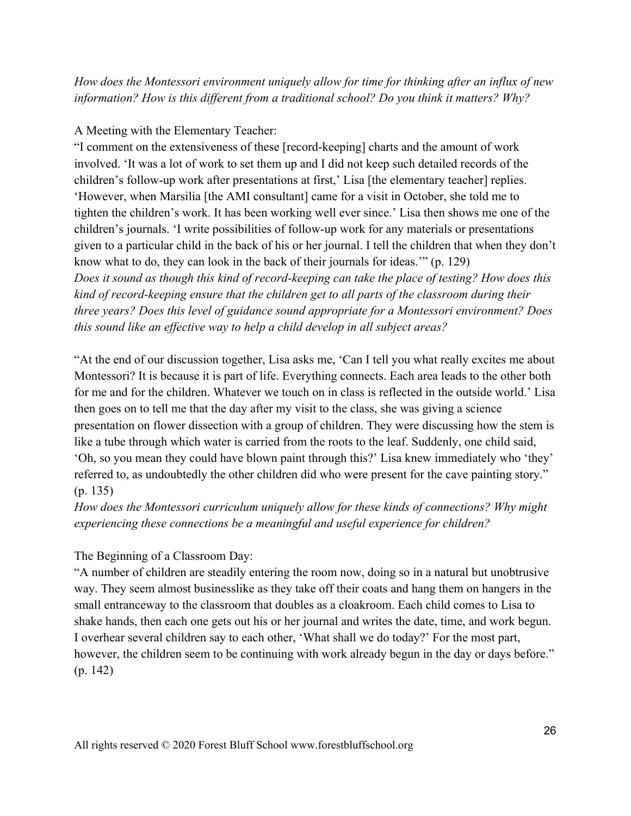*How does the Montessori environment uniquely allow for time for thinking after an influx of new information? How is this different from a traditional school? Do you think it matters? Why?* 

# A Meeting with the Elementary Teacher:

"I comment on the extensiveness of these [record-keeping] charts and the amount of work involved. 'It was a lot of work to set them up and I did not keep such detailed records of the children's follow-up work after presentations at first,' Lisa [the elementary teacher] replies. 'However, when Marsilia [the AMI consultant] came for a visit in October, she told me to tighten the children's work. It has been working well ever since.' Lisa then shows me one of the children's journals. 'I write possibilities of follow-up work for any materials or presentations given to a particular child in the back of his or her journal. I tell the children that when they don't know what to do, they can look in the back of their journals for ideas.'" (p. 129) *Does it sound as though this kind of record-keeping can take the place of testing? How does this kind of record-keeping ensure that the children get to all parts of the classroom during their three years? Does this level of guidance sound appropriate for a Montessori environment? Does this sound like an effective way to help a child develop in all subject areas?*

"At the end of our discussion together, Lisa asks me, 'Can I tell you what really excites me about Montessori? It is because it is part of life. Everything connects. Each area leads to the other both for me and for the children. Whatever we touch on in class is reflected in the outside world.' Lisa then goes on to tell me that the day after my visit to the class, she was giving a science presentation on flower dissection with a group of children. They were discussing how the stem is like a tube through which water is carried from the roots to the leaf. Suddenly, one child said, 'Oh, so you mean they could have blown paint through this?' Lisa knew immediately who 'they' referred to, as undoubtedly the other children did who were present for the cave painting story." (p. 135)

*How does the Montessori curriculum uniquely allow for these kinds of connections? Why might experiencing these connections be a meaningful and useful experience for children?*

# The Beginning of a Classroom Day:

"A number of children are steadily entering the room now, doing so in a natural but unobtrusive way. They seem almost businesslike as they take off their coats and hang them on hangers in the small entranceway to the classroom that doubles as a cloakroom. Each child comes to Lisa to shake hands, then each one gets out his or her journal and writes the date, time, and work begun. I overhear several children say to each other, 'What shall we do today?' For the most part, however, the children seem to be continuing with work already begun in the day or days before." (p. 142)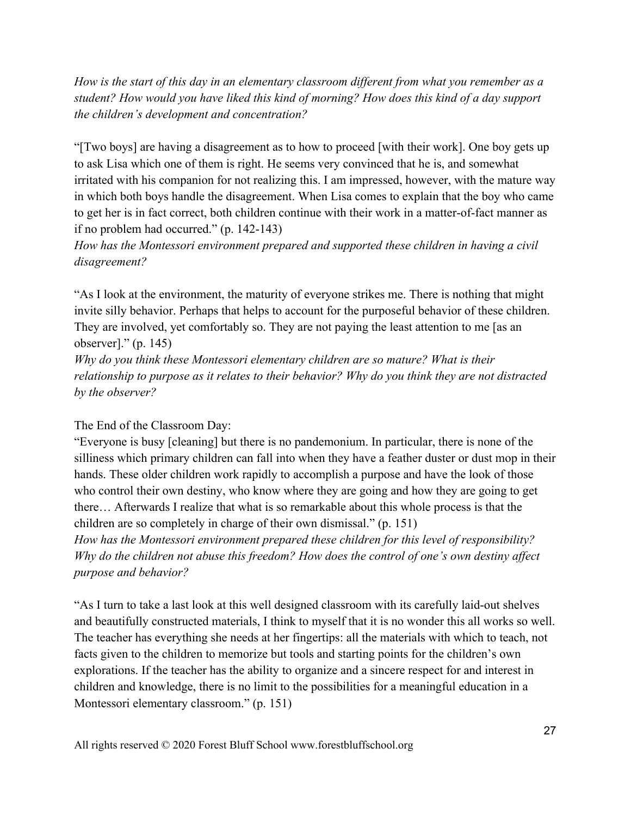*How is the start of this day in an elementary classroom different from what you remember as a student? How would you have liked this kind of morning? How does this kind of a day support the children's development and concentration?*

"[Two boys] are having a disagreement as to how to proceed [with their work]. One boy gets up to ask Lisa which one of them is right. He seems very convinced that he is, and somewhat irritated with his companion for not realizing this. I am impressed, however, with the mature way in which both boys handle the disagreement. When Lisa comes to explain that the boy who came to get her is in fact correct, both children continue with their work in a matter-of-fact manner as if no problem had occurred." (p. 142-143)

*How has the Montessori environment prepared and supported these children in having a civil disagreement?* 

"As I look at the environment, the maturity of everyone strikes me. There is nothing that might invite silly behavior. Perhaps that helps to account for the purposeful behavior of these children. They are involved, yet comfortably so. They are not paying the least attention to me [as an observer]." (p. 145)

*Why do you think these Montessori elementary children are so mature? What is their relationship to purpose as it relates to their behavior? Why do you think they are not distracted by the observer?*

The End of the Classroom Day:

"Everyone is busy [cleaning] but there is no pandemonium. In particular, there is none of the silliness which primary children can fall into when they have a feather duster or dust mop in their hands. These older children work rapidly to accomplish a purpose and have the look of those who control their own destiny, who know where they are going and how they are going to get there… Afterwards I realize that what is so remarkable about this whole process is that the children are so completely in charge of their own dismissal." (p. 151)

*How has the Montessori environment prepared these children for this level of responsibility? Why do the children not abuse this freedom? How does the control of one's own destiny affect purpose and behavior?*

"As I turn to take a last look at this well designed classroom with its carefully laid-out shelves and beautifully constructed materials, I think to myself that it is no wonder this all works so well. The teacher has everything she needs at her fingertips: all the materials with which to teach, not facts given to the children to memorize but tools and starting points for the children's own explorations. If the teacher has the ability to organize and a sincere respect for and interest in children and knowledge, there is no limit to the possibilities for a meaningful education in a Montessori elementary classroom." (p. 151)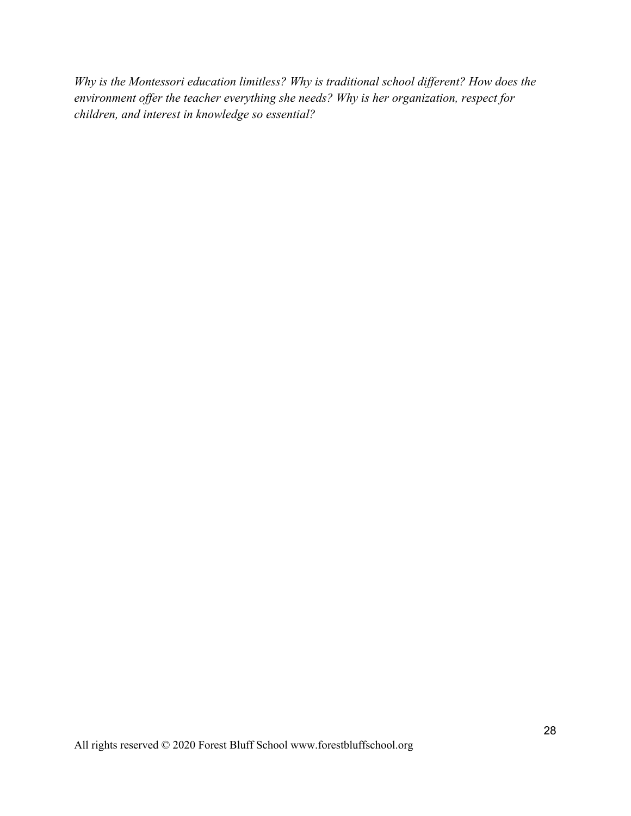*Why is the Montessori education limitless? Why is traditional school different? How does the environment offer the teacher everything she needs? Why is her organization, respect for children, and interest in knowledge so essential?*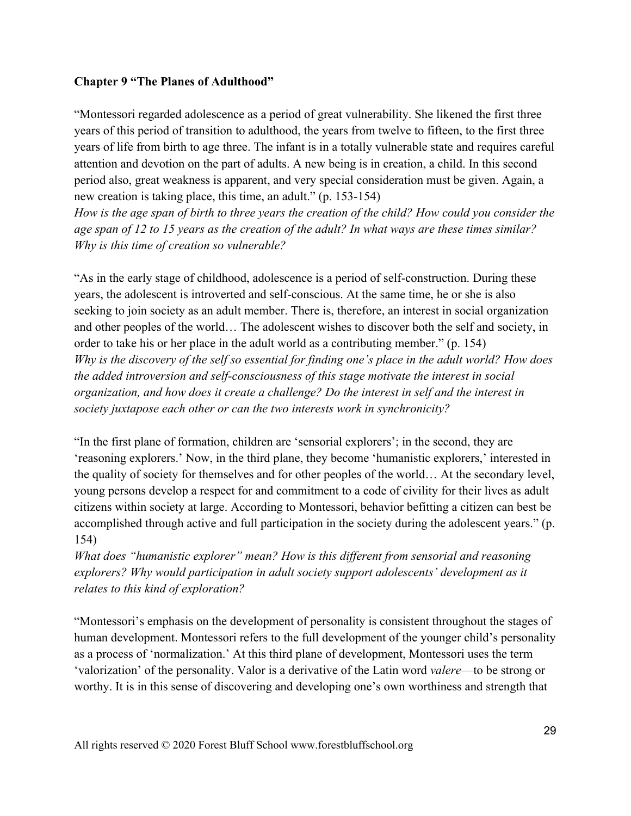#### **Chapter 9 "The Planes of Adulthood"**

"Montessori regarded adolescence as a period of great vulnerability. She likened the first three years of this period of transition to adulthood, the years from twelve to fifteen, to the first three years of life from birth to age three. The infant is in a totally vulnerable state and requires careful attention and devotion on the part of adults. A new being is in creation, a child. In this second period also, great weakness is apparent, and very special consideration must be given. Again, a new creation is taking place, this time, an adult." (p. 153-154)

*How is the age span of birth to three years the creation of the child? How could you consider the age span of 12 to 15 years as the creation of the adult? In what ways are these times similar? Why is this time of creation so vulnerable?*

"As in the early stage of childhood, adolescence is a period of self-construction. During these years, the adolescent is introverted and self-conscious. At the same time, he or she is also seeking to join society as an adult member. There is, therefore, an interest in social organization and other peoples of the world… The adolescent wishes to discover both the self and society, in order to take his or her place in the adult world as a contributing member." (p. 154) *Why is the discovery of the self so essential for finding one's place in the adult world? How does the added introversion and self-consciousness of this stage motivate the interest in social organization, and how does it create a challenge? Do the interest in self and the interest in society juxtapose each other or can the two interests work in synchronicity?*

"In the first plane of formation, children are 'sensorial explorers'; in the second, they are 'reasoning explorers.' Now, in the third plane, they become 'humanistic explorers,' interested in the quality of society for themselves and for other peoples of the world… At the secondary level, young persons develop a respect for and commitment to a code of civility for their lives as adult citizens within society at large. According to Montessori, behavior befitting a citizen can best be accomplished through active and full participation in the society during the adolescent years." (p. 154)

*What does "humanistic explorer" mean? How is this different from sensorial and reasoning explorers? Why would participation in adult society support adolescents' development as it relates to this kind of exploration?* 

"Montessori's emphasis on the development of personality is consistent throughout the stages of human development. Montessori refers to the full development of the younger child's personality as a process of 'normalization.' At this third plane of development, Montessori uses the term 'valorization' of the personality. Valor is a derivative of the Latin word *valere*—to be strong or worthy. It is in this sense of discovering and developing one's own worthiness and strength that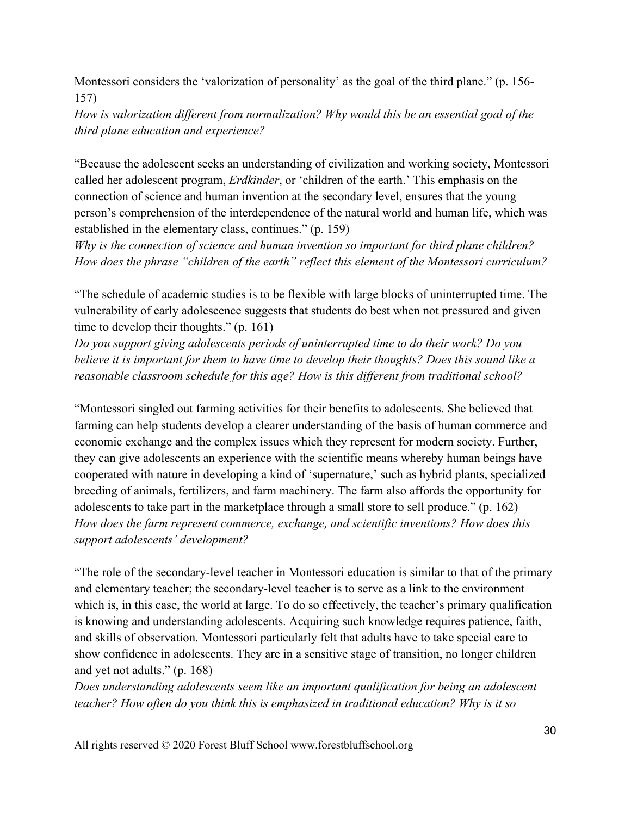Montessori considers the 'valorization of personality' as the goal of the third plane." (p. 156- 157)

*How is valorization different from normalization? Why would this be an essential goal of the third plane education and experience?* 

"Because the adolescent seeks an understanding of civilization and working society, Montessori called her adolescent program, *Erdkinder*, or 'children of the earth.' This emphasis on the connection of science and human invention at the secondary level, ensures that the young person's comprehension of the interdependence of the natural world and human life, which was established in the elementary class, continues." (p. 159)

*Why is the connection of science and human invention so important for third plane children? How does the phrase "children of the earth" reflect this element of the Montessori curriculum?* 

"The schedule of academic studies is to be flexible with large blocks of uninterrupted time. The vulnerability of early adolescence suggests that students do best when not pressured and given time to develop their thoughts." (p. 161)

*Do you support giving adolescents periods of uninterrupted time to do their work? Do you believe it is important for them to have time to develop their thoughts? Does this sound like a reasonable classroom schedule for this age? How is this different from traditional school?* 

"Montessori singled out farming activities for their benefits to adolescents. She believed that farming can help students develop a clearer understanding of the basis of human commerce and economic exchange and the complex issues which they represent for modern society. Further, they can give adolescents an experience with the scientific means whereby human beings have cooperated with nature in developing a kind of 'supernature,' such as hybrid plants, specialized breeding of animals, fertilizers, and farm machinery. The farm also affords the opportunity for adolescents to take part in the marketplace through a small store to sell produce." (p. 162) *How does the farm represent commerce, exchange, and scientific inventions? How does this support adolescents' development?* 

"The role of the secondary-level teacher in Montessori education is similar to that of the primary and elementary teacher; the secondary-level teacher is to serve as a link to the environment which is, in this case, the world at large. To do so effectively, the teacher's primary qualification is knowing and understanding adolescents. Acquiring such knowledge requires patience, faith, and skills of observation. Montessori particularly felt that adults have to take special care to show confidence in adolescents. They are in a sensitive stage of transition, no longer children and yet not adults." (p. 168)

*Does understanding adolescents seem like an important qualification for being an adolescent teacher? How often do you think this is emphasized in traditional education? Why is it so* 

All rights reserved © 2020 Forest Bluff School www.forestbluffschool.org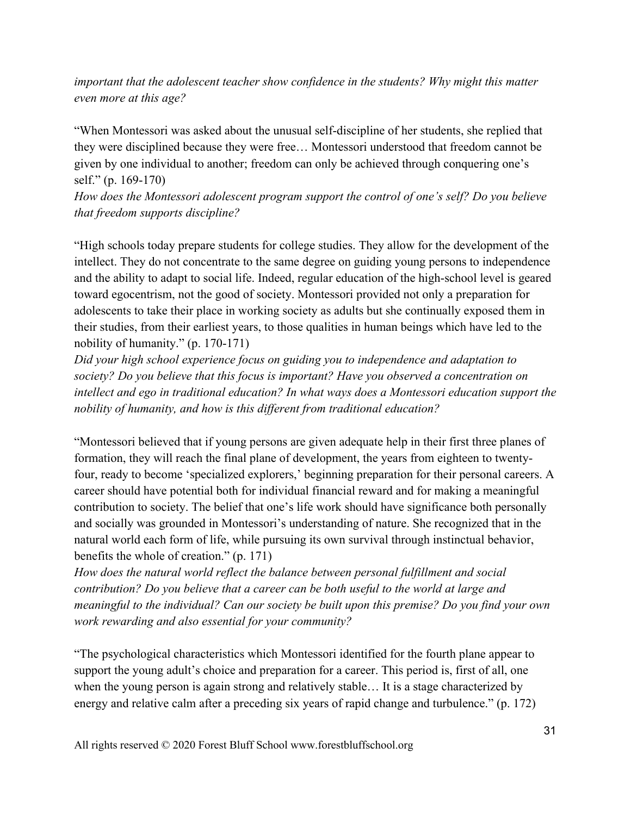*important that the adolescent teacher show confidence in the students? Why might this matter even more at this age?*

"When Montessori was asked about the unusual self-discipline of her students, she replied that they were disciplined because they were free… Montessori understood that freedom cannot be given by one individual to another; freedom can only be achieved through conquering one's self." (p. 169-170)

*How does the Montessori adolescent program support the control of one's self? Do you believe that freedom supports discipline?*

"High schools today prepare students for college studies. They allow for the development of the intellect. They do not concentrate to the same degree on guiding young persons to independence and the ability to adapt to social life. Indeed, regular education of the high-school level is geared toward egocentrism, not the good of society. Montessori provided not only a preparation for adolescents to take their place in working society as adults but she continually exposed them in their studies, from their earliest years, to those qualities in human beings which have led to the nobility of humanity." (p. 170-171)

*Did your high school experience focus on guiding you to independence and adaptation to society? Do you believe that this focus is important? Have you observed a concentration on intellect and ego in traditional education? In what ways does a Montessori education support the nobility of humanity, and how is this different from traditional education?*

"Montessori believed that if young persons are given adequate help in their first three planes of formation, they will reach the final plane of development, the years from eighteen to twentyfour, ready to become 'specialized explorers,' beginning preparation for their personal careers. A career should have potential both for individual financial reward and for making a meaningful contribution to society. The belief that one's life work should have significance both personally and socially was grounded in Montessori's understanding of nature. She recognized that in the natural world each form of life, while pursuing its own survival through instinctual behavior, benefits the whole of creation." (p. 171)

*How does the natural world reflect the balance between personal fulfillment and social contribution? Do you believe that a career can be both useful to the world at large and meaningful to the individual? Can our society be built upon this premise? Do you find your own work rewarding and also essential for your community?* 

"The psychological characteristics which Montessori identified for the fourth plane appear to support the young adult's choice and preparation for a career. This period is, first of all, one when the young person is again strong and relatively stable… It is a stage characterized by energy and relative calm after a preceding six years of rapid change and turbulence." (p. 172)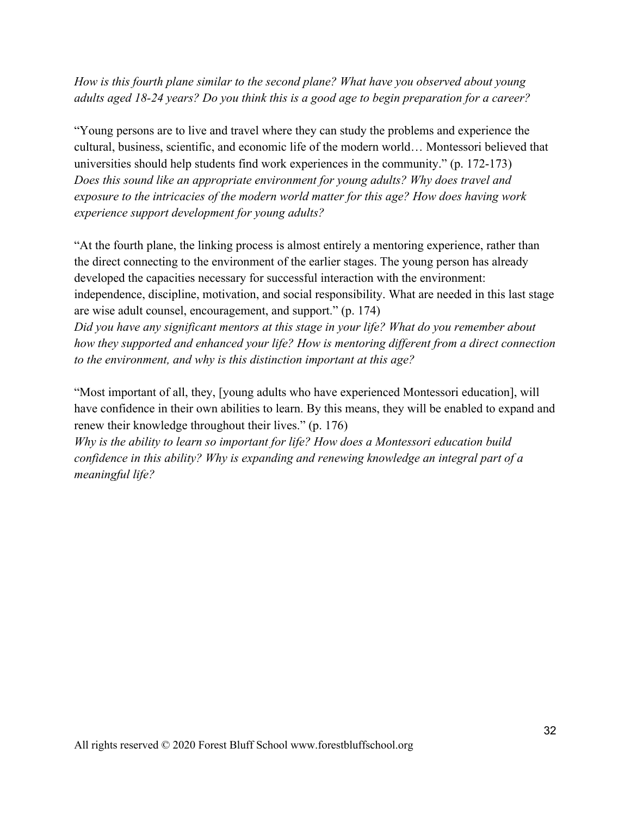*How is this fourth plane similar to the second plane? What have you observed about young adults aged 18-24 years? Do you think this is a good age to begin preparation for a career?*

"Young persons are to live and travel where they can study the problems and experience the cultural, business, scientific, and economic life of the modern world… Montessori believed that universities should help students find work experiences in the community." (p. 172-173) *Does this sound like an appropriate environment for young adults? Why does travel and exposure to the intricacies of the modern world matter for this age? How does having work experience support development for young adults?*

"At the fourth plane, the linking process is almost entirely a mentoring experience, rather than the direct connecting to the environment of the earlier stages. The young person has already developed the capacities necessary for successful interaction with the environment: independence, discipline, motivation, and social responsibility. What are needed in this last stage are wise adult counsel, encouragement, and support." (p. 174) *Did you have any significant mentors at this stage in your life? What do you remember about how they supported and enhanced your life? How is mentoring different from a direct connection to the environment, and why is this distinction important at this age?*

"Most important of all, they, [young adults who have experienced Montessori education], will have confidence in their own abilities to learn. By this means, they will be enabled to expand and renew their knowledge throughout their lives." (p. 176)

*Why is the ability to learn so important for life? How does a Montessori education build confidence in this ability? Why is expanding and renewing knowledge an integral part of a meaningful life?*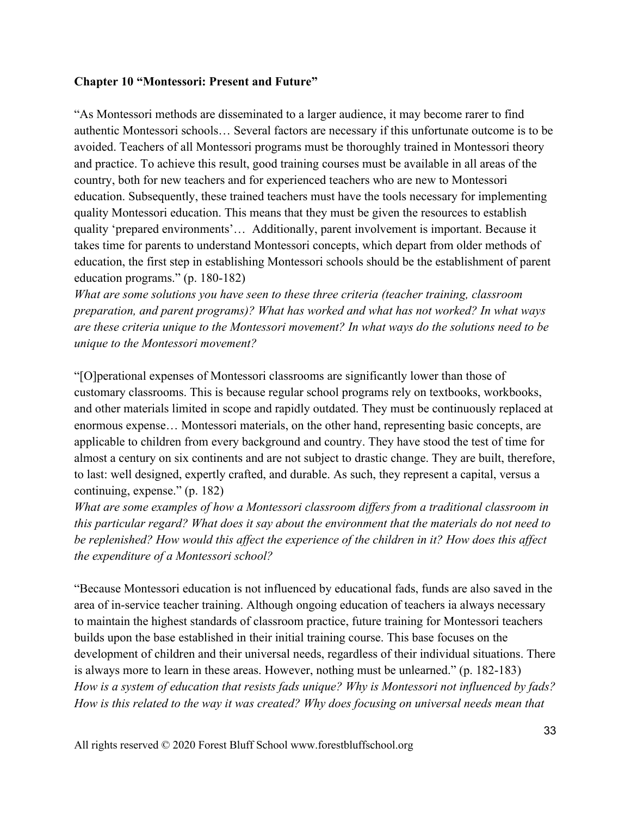#### **Chapter 10 "Montessori: Present and Future"**

"As Montessori methods are disseminated to a larger audience, it may become rarer to find authentic Montessori schools… Several factors are necessary if this unfortunate outcome is to be avoided. Teachers of all Montessori programs must be thoroughly trained in Montessori theory and practice. To achieve this result, good training courses must be available in all areas of the country, both for new teachers and for experienced teachers who are new to Montessori education. Subsequently, these trained teachers must have the tools necessary for implementing quality Montessori education. This means that they must be given the resources to establish quality 'prepared environments'… Additionally, parent involvement is important. Because it takes time for parents to understand Montessori concepts, which depart from older methods of education, the first step in establishing Montessori schools should be the establishment of parent education programs." (p. 180-182)

*What are some solutions you have seen to these three criteria (teacher training, classroom preparation, and parent programs)? What has worked and what has not worked? In what ways are these criteria unique to the Montessori movement? In what ways do the solutions need to be unique to the Montessori movement?*

"[O]perational expenses of Montessori classrooms are significantly lower than those of customary classrooms. This is because regular school programs rely on textbooks, workbooks, and other materials limited in scope and rapidly outdated. They must be continuously replaced at enormous expense… Montessori materials, on the other hand, representing basic concepts, are applicable to children from every background and country. They have stood the test of time for almost a century on six continents and are not subject to drastic change. They are built, therefore, to last: well designed, expertly crafted, and durable. As such, they represent a capital, versus a continuing, expense." (p. 182)

*What are some examples of how a Montessori classroom differs from a traditional classroom in this particular regard? What does it say about the environment that the materials do not need to be replenished? How would this affect the experience of the children in it? How does this affect the expenditure of a Montessori school?*

"Because Montessori education is not influenced by educational fads, funds are also saved in the area of in-service teacher training. Although ongoing education of teachers ia always necessary to maintain the highest standards of classroom practice, future training for Montessori teachers builds upon the base established in their initial training course. This base focuses on the development of children and their universal needs, regardless of their individual situations. There is always more to learn in these areas. However, nothing must be unlearned." (p. 182-183) *How is a system of education that resists fads unique? Why is Montessori not influenced by fads? How is this related to the way it was created? Why does focusing on universal needs mean that* 

All rights reserved © 2020 Forest Bluff School www.forestbluffschool.org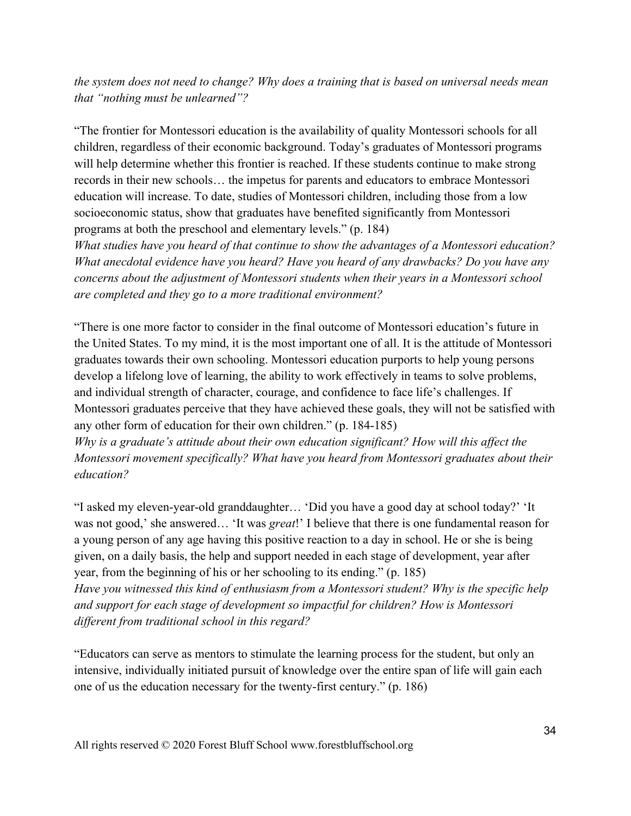*the system does not need to change? Why does a training that is based on universal needs mean that "nothing must be unlearned"?*

"The frontier for Montessori education is the availability of quality Montessori schools for all children, regardless of their economic background. Today's graduates of Montessori programs will help determine whether this frontier is reached. If these students continue to make strong records in their new schools… the impetus for parents and educators to embrace Montessori education will increase. To date, studies of Montessori children, including those from a low socioeconomic status, show that graduates have benefited significantly from Montessori programs at both the preschool and elementary levels." (p. 184)

*What studies have you heard of that continue to show the advantages of a Montessori education? What anecdotal evidence have you heard? Have you heard of any drawbacks? Do you have any concerns about the adjustment of Montessori students when their years in a Montessori school are completed and they go to a more traditional environment?*

"There is one more factor to consider in the final outcome of Montessori education's future in the United States. To my mind, it is the most important one of all. It is the attitude of Montessori graduates towards their own schooling. Montessori education purports to help young persons develop a lifelong love of learning, the ability to work effectively in teams to solve problems, and individual strength of character, courage, and confidence to face life's challenges. If Montessori graduates perceive that they have achieved these goals, they will not be satisfied with any other form of education for their own children." (p. 184-185)

*Why is a graduate's attitude about their own education significant? How will this affect the Montessori movement specifically? What have you heard from Montessori graduates about their education?* 

"I asked my eleven-year-old granddaughter… 'Did you have a good day at school today?' 'It was not good,' she answered… 'It was *great*!' I believe that there is one fundamental reason for a young person of any age having this positive reaction to a day in school. He or she is being given, on a daily basis, the help and support needed in each stage of development, year after year, from the beginning of his or her schooling to its ending." (p. 185) *Have you witnessed this kind of enthusiasm from a Montessori student? Why is the specific help* 

*and support for each stage of development so impactful for children? How is Montessori different from traditional school in this regard?*

"Educators can serve as mentors to stimulate the learning process for the student, but only an intensive, individually initiated pursuit of knowledge over the entire span of life will gain each one of us the education necessary for the twenty-first century." (p. 186)